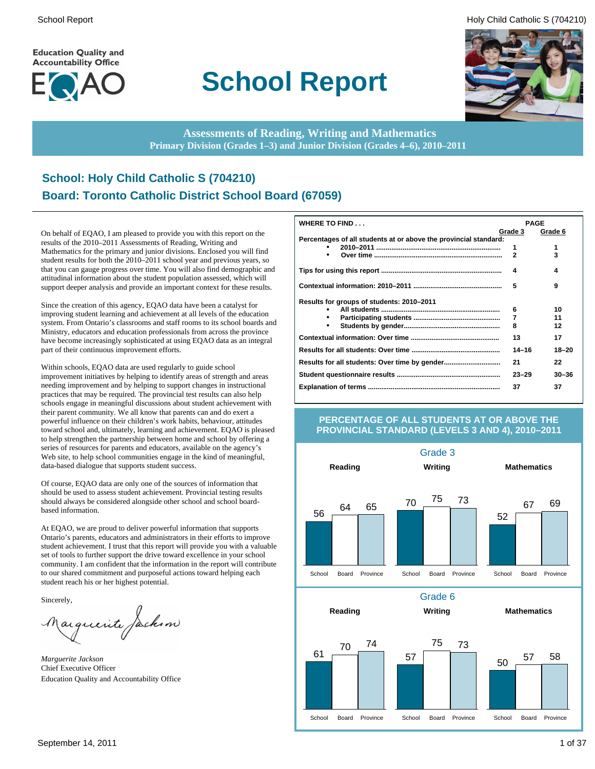**Education Quality and Accountability Office** 



# **School Report**

School Report **Example 2** and the set of the set of the set of the set of the set of the set of the set of the set of the set of the set of the set of the set of the set of the set of the set of the set of the set of the s



**Assessments of Reading, Writing and Mathematics Primary Division (Grades 1–3) and Junior Division (Grades 4–6), 2010–2011**

# **School: Holy Child Catholic S (704210) Board: Toronto Catholic District School Board (67059)**

On behalf of EQAO, I am pleased to provide you with this report on the results of the 2010–2011 Assessments of Reading, Writing and Mathematics for the primary and junior divisions. Enclosed you will find student results for both the 2010–2011 school year and previous years, so that you can gauge progress over time. You will also find demographic and attitudinal information about the student population assessed, which will support deeper analysis and provide an important context for these results.

Since the creation of this agency, EQAO data have been a catalyst for improving student learning and achievement at all levels of the education system. From Ontario's classrooms and staff rooms to its school boards and Ministry, educators and education professionals from across the province have become increasingly sophisticated at using EQAO data as an integral part of their continuous improvement efforts.

Within schools, EQAO data are used regularly to guide school improvement initiatives by helping to identify areas of strength and areas needing improvement and by helping to support changes in instructional practices that may be required. The provincial test results can also help schools engage in meaningful discussions about student achievement with their parent community. We all know that parents can and do exert a powerful influence on their children's work habits, behaviour, attitudes toward school and, ultimately, learning and achievement. EQAO is pleased to help strengthen the partnership between home and school by offering a series of resources for parents and educators, available on the agency's Web site, to help school communities engage in the kind of meaningful, data-based dialogue that supports student success.

Of course, EQAO data are only one of the sources of information that should be used to assess student achievement. Provincial testing results should always be considered alongside other school and school boardbased information.

At EQAO, we are proud to deliver powerful information that supports Ontario's parents, educators and administrators in their efforts to improve student achievement. I trust that this report will provide you with a valuable set of tools to further support the drive toward excellence in your school community. I am confident that the information in the report will contribute to our shared commitment and purposeful actions toward helping each student reach his or her highest potential.

Sincerely,

arguerite Jackson

*Marguerite Jackson* Chief Executive Officer Education Quality and Accountability Office

| WHERE TO FIND                                                    |                | <b>PAGE</b> |
|------------------------------------------------------------------|----------------|-------------|
|                                                                  | Grade 3        | Grade 6     |
| Percentages of all students at or above the provincial standard: |                |             |
|                                                                  | 1              | 1           |
|                                                                  | $\overline{2}$ | 3           |
|                                                                  | 4              | 4           |
|                                                                  | 5              | 9           |
| Results for groups of students: 2010-2011                        |                |             |
|                                                                  | 6              | 10          |
|                                                                  | 7              | 11          |
|                                                                  | 8              | 12          |
|                                                                  | 13             | 17          |
|                                                                  | $14 - 16$      | $18 - 20$   |
|                                                                  | 21             | 22          |
|                                                                  | $23 - 29$      | $30 - 36$   |
|                                                                  | 37             | 37          |

#### **PERCENTAGE OF ALL STUDENTS AT OR ABOVE THE PROVINCIAL STANDARD (LEVELS 3 AND 4), 2010–2011**

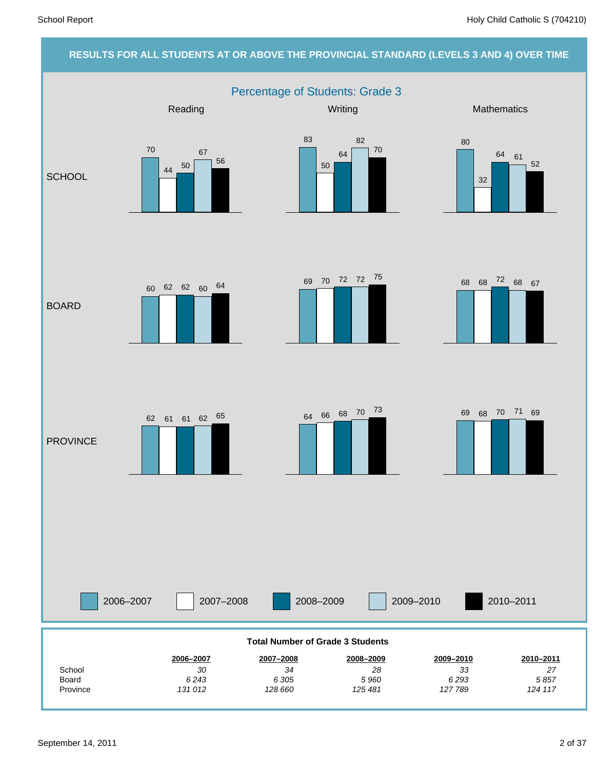### **RESULTS FOR ALL STUDENTS AT OR ABOVE THE PROVINCIAL STANDARD (LEVELS 3 AND 4) OVER TIME** Percentage of Students: Grade 3 2006–2007 2007–2008 2008–2009 2009–2010 Reading Mathematics **Mathematics** Mathematics **Mathematics SCHOOL** BOARD **PROVINCE** 2010–2011 *124 117 5 857 27* **2010–2011** *127 789 6 293 33* **2009–2010** *125 481 5 960 28* **2008–2009** *128 660 6 305 34* **2007–2008** *131 012 6 243 30* **2006–2007** Province Board **School Total Number of Grade 3 Students** 70 <sup>44</sup> <sup>50</sup> 67 56 83 50 64 82 70 80 32 64 61 52 <sup>68</sup> <sup>68</sup> <sup>72</sup> <sup>69</sup> <sup>68</sup> <sup>67</sup> <sup>70</sup> <sup>72</sup> <sup>72</sup> <sup>75</sup> 60 62 62 60 64  $62 \quad 61 \quad 62 \quad 65$   $64 \quad 66 \quad 68 \quad 70 \quad 73$   $69 \quad 68 \quad 70 \quad 71 \quad 69$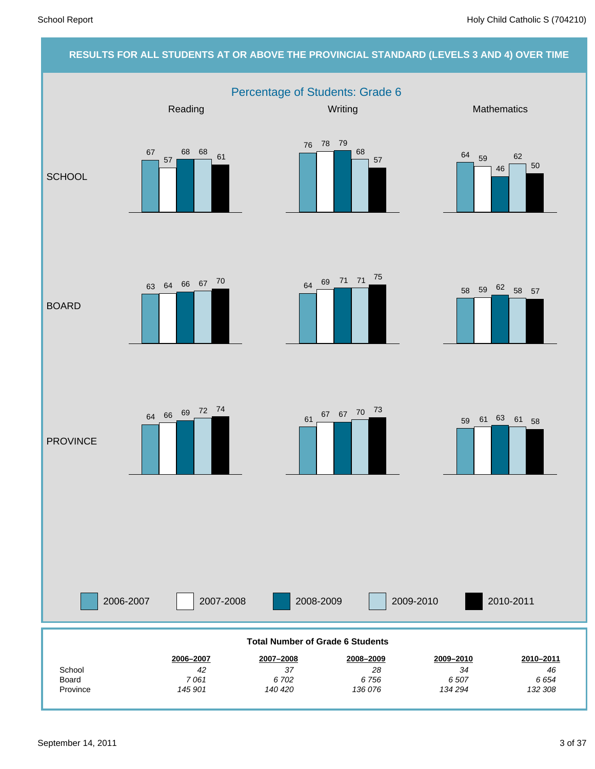# **RESULTS FOR ALL STUDENTS AT OR ABOVE THE PROVINCIAL STANDARD (LEVELS 3 AND 4) OVER TIME** Percentage of Students: Grade 6 2006-2007 2007-2008 2008-2009 2009-2010 Reading Mathematics **Mathematics** Mathematics **Mathematics SCHOOL** BOARD **PROVINCE** 2010-2011 *132 308 6 654 46* **2010–2011** *134 294 6 507 34* **2009–2010** *136 076 6 756 28* **2008–2009** *140 420 6 702 37* **2007–2008** *145 901 7 061 42* **2006–2007** Province Board **School Total Number of Grade 6 Students** 67 57 <sup>68</sup> <sup>68</sup> <sup>61</sup> 76 78 79 68 57 <sup>64</sup> <sup>59</sup> 46 62 50 <sup>58</sup> <sup>59</sup> <sup>62</sup> <sup>58</sup> <sup>57</sup> <sup>64</sup> <sup>69</sup> <sup>71</sup> <sup>71</sup> <sup>75</sup> <sup>63</sup> <sup>64</sup> <sup>66</sup> <sup>67</sup> <sup>70</sup> <sup>61</sup> <sup>67</sup> <sup>67</sup> <sup>70</sup> <sup>73</sup> <sup>64</sup> <sup>66</sup> <sup>69</sup> <sup>72</sup> <sup>74</sup> <sup>59</sup> <sup>61</sup> <sup>63</sup> <sup>61</sup> <sup>58</sup>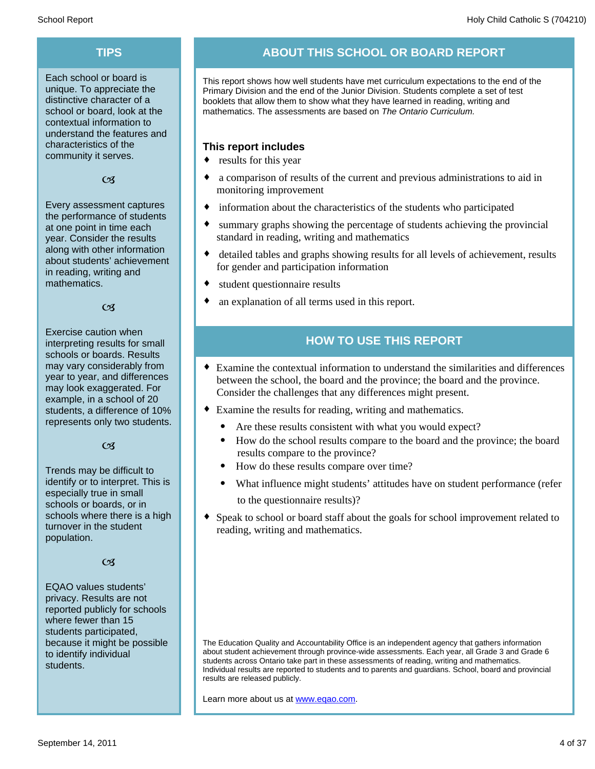Each school or board is unique. To appreciate the distinctive character of a school or board, look at the contextual information to understand the features and characteristics of the community it serves.

#### $C<sub>3</sub>$

Every assessment captures the performance of students at one point in time each year. Consider the results along with other information about students' achievement in reading, writing and mathematics.

#### $\alpha$

Exercise caution when interpreting results for small schools or boards. Results may vary considerably from year to year, and differences may look exaggerated. For example, in a school of 20 students, a difference of 10% represents only two students.

#### $C<sub>3</sub>$

Trends may be difficult to identify or to interpret. This is especially true in small schools or boards, or in schools where there is a high turnover in the student population.

#### $C<sub>3</sub>$

EQAO values students' privacy. Results are not reported publicly for schools where fewer than 15 students participated, because it might be possible to identify individual students.

# **TIPS ABOUT THIS SCHOOL OR BOARD REPORT**

This report shows how well students have met curriculum expectations to the end of the Primary Division and the end of the Junior Division. Students complete a set of test booklets that allow them to show what they have learned in reading, writing and mathematics. The assessments are based on *The Ontario Curriculum.*

### **This report includes**

- $\bullet$  results for this year
- a comparison of results of the current and previous administrations to aid in monitoring improvement
- information about the characteristics of the students who participated
- summary graphs showing the percentage of students achieving the provincial standard in reading, writing and mathematics
- detailed tables and graphs showing results for all levels of achievement, results for gender and participation information
- $\bullet$  student questionnaire results
- an explanation of all terms used in this report.

# **HOW TO USE THIS REPORT**

- ¨ Examine the contextual information to understand the similarities and differences between the school, the board and the province; the board and the province. Consider the challenges that any differences might present.
- Examine the results for reading, writing and mathematics.
	- Are these results consistent with what you would expect?
	- · How do the school results compare to the board and the province; the board results compare to the province?
	- · How do these results compare over time?
	- What influence might students' attitudes have on student performance (refer to the questionnaire results)?
- Speak to school or board staff about the goals for school improvement related to reading, writing and mathematics.

The Education Quality and Accountability Office is an independent agency that gathers information about student achievement through province-wide assessments. Each year, all Grade 3 and Grade 6 students across Ontario take part in these assessments of reading, writing and mathematics. Individual results are reported to students and to parents and guardians. School, board and provincial results are released publicly.

Learn more about us at www.eqao.com.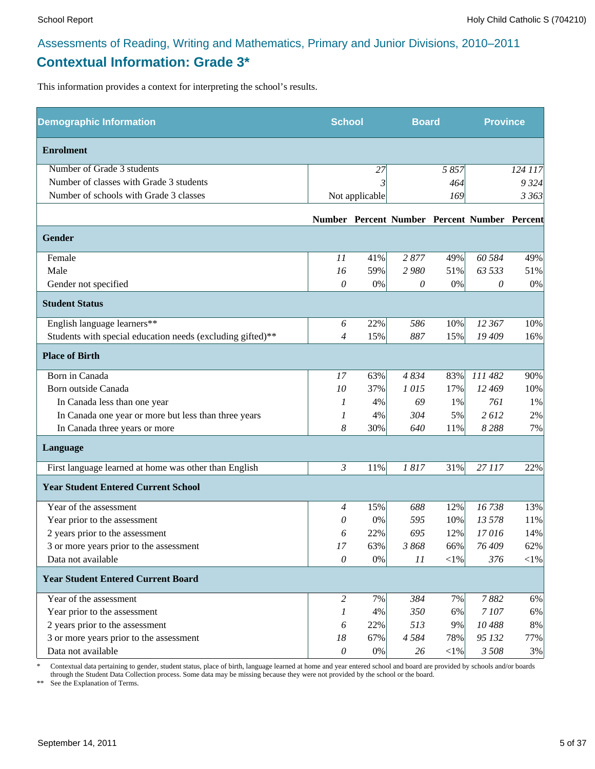# **Contextual Information: Grade 3\***

This information provides a context for interpreting the school's results.

| <b>Demographic Information</b>                             | <b>School</b>             |                | <b>Board</b> |        | <b>Province</b>                              |         |
|------------------------------------------------------------|---------------------------|----------------|--------------|--------|----------------------------------------------|---------|
| <b>Enrolment</b>                                           |                           |                |              |        |                                              |         |
| Number of Grade 3 students                                 |                           | 27             |              | 5857   |                                              | 124 117 |
| Number of classes with Grade 3 students                    |                           |                |              | 464    |                                              | 9 3 2 4 |
| Number of schools with Grade 3 classes                     |                           | Not applicable |              | 169    |                                              | 3 363   |
|                                                            |                           |                |              |        | Number Percent Number Percent Number Percent |         |
| Gender                                                     |                           |                |              |        |                                              |         |
| Female                                                     | 11                        | 41%            | 2877         | 49%    | 60 584                                       | 49%     |
| Male                                                       | 16                        | 59%            | 2980         | 51%    | 63 533                                       | 51%     |
| Gender not specified                                       | 0                         | 0%             | $\theta$     | $0\%$  | 0                                            | 0%      |
| <b>Student Status</b>                                      |                           |                |              |        |                                              |         |
| English language learners**                                | 6                         | 22%            | 586          | 10%    | 12 367                                       | 10%     |
| Students with special education needs (excluding gifted)** | $\overline{4}$            | 15%            | 887          | 15%    | 19 409                                       | 16%     |
| <b>Place of Birth</b>                                      |                           |                |              |        |                                              |         |
| Born in Canada                                             | 17                        | 63%            | 4834         | 83%    | 111 482                                      | 90%     |
| Born outside Canada                                        | 10                        | 37%            | 1015         | 17%    | 12 469                                       | 10%     |
| In Canada less than one year                               | 1                         | 4%             | 69           | 1%     | 761                                          | 1%      |
| In Canada one year or more but less than three years       | 1                         | 4%             | 304          | 5%     | 2612                                         | 2%      |
| In Canada three years or more                              | 8                         | 30%            | 640          | 11%    | 8288                                         | 7%      |
| Language                                                   |                           |                |              |        |                                              |         |
| First language learned at home was other than English      | $\mathfrak{Z}$            | 11%            | 1817         | 31%    | 27 117                                       | 22%     |
| <b>Year Student Entered Current School</b>                 |                           |                |              |        |                                              |         |
| Year of the assessment                                     | $\overline{4}$            | 15%            | 688          | 12%    | 16738                                        | 13%     |
| Year prior to the assessment                               | 0                         | 0%             | 595          | 10%    | 13 578                                       | 11%     |
| 2 years prior to the assessment                            | 6                         | 22%            | 695          | 12%    | 17016                                        | 14%     |
| 3 or more years prior to the assessment                    | 17                        | 63%            | 3868         | 66%    | 76 409                                       | 62%     |
| Data not available                                         | 0                         | $0\%$          | 11           | $<$ 1% | 376                                          | $<$ 1%  |
| <b>Year Student Entered Current Board</b>                  |                           |                |              |        |                                              |         |
| Year of the assessment                                     | $\overline{c}$            | 7%             | 384          | 7%     | 7882                                         | 6%      |
| Year prior to the assessment                               | 1                         | 4%             | 350          | 6%     | 7107                                         | 6%      |
| 2 years prior to the assessment                            | 6                         | 22%            | 513          | 9%     | 10488                                        | $8\%$   |
| 3 or more years prior to the assessment                    | 18                        | 67%            | 4584         | 78%    | 95 132                                       | 77%     |
| Data not available                                         | $\boldsymbol{\mathit{0}}$ | $0\%$          | 26           | $<$ 1% | 3 508                                        | 3%      |

\* Contextual data pertaining to gender, student status, place of birth, language learned at home and year entered school and board are provided by schools and/or boards through the Student Data Collection process. Some data may be missing because they were not provided by the school or the board.

\*\* See the Explanation of Terms.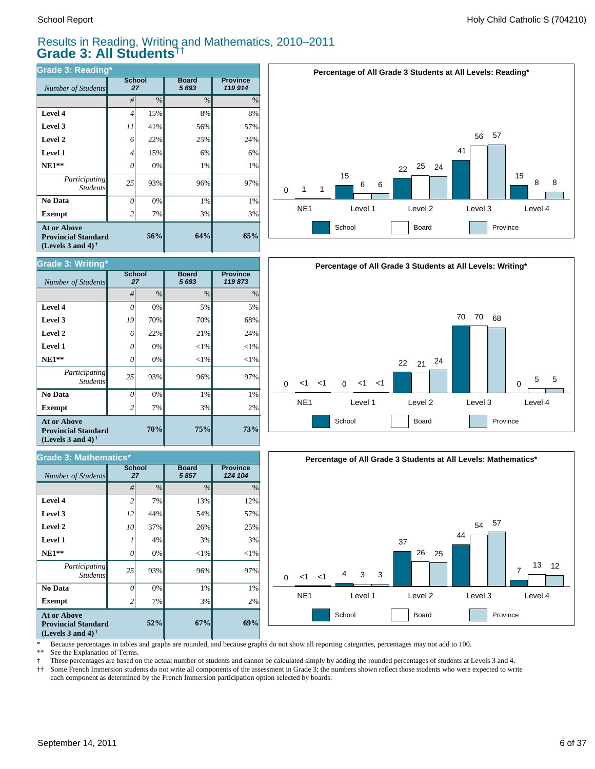# Results in Reading, Writing and Mathematics, 2010–2011 **Grade 3: All Students††**

| <b>Grade 3: Reading*</b>                                                                             |                |                     |                         |                            |  |  |  |  |  |
|------------------------------------------------------------------------------------------------------|----------------|---------------------|-------------------------|----------------------------|--|--|--|--|--|
| Number of Students                                                                                   |                | <b>School</b><br>27 | <b>Board</b><br>5 6 9 3 | <b>Province</b><br>119 914 |  |  |  |  |  |
|                                                                                                      | #              | $\frac{0}{0}$       | $\frac{0}{0}$           | $\%$                       |  |  |  |  |  |
| Level 4                                                                                              | 4              | 15%                 | 8%                      | 8%                         |  |  |  |  |  |
| Level 3                                                                                              | 11             | 41%                 | 56%                     | 57%                        |  |  |  |  |  |
| Level 2                                                                                              | 6              | 22%                 | 25%                     | 24%                        |  |  |  |  |  |
| <b>Level 1</b>                                                                                       | 4              | 15%                 | 6%                      | 6%                         |  |  |  |  |  |
| $NE1**$                                                                                              | 0              | 0%                  | 1%                      | 1%                         |  |  |  |  |  |
| Participating<br><b>Students</b>                                                                     | 25             | 93%                 | 96%                     | 97%                        |  |  |  |  |  |
| No Data                                                                                              | 0              | 0%                  | 1%                      | 1%                         |  |  |  |  |  |
| <b>Exempt</b>                                                                                        | $\overline{2}$ | 7%                  | 3%                      | 3%                         |  |  |  |  |  |
| <b>At or Above</b><br><b>Provincial Standard</b><br>(Levels 3 and 4) <sup><math>\dagger</math></sup> | 56%            | 64%                 | 65%                     |                            |  |  |  |  |  |





| <b>Grade 3: Mathematics*</b>                                                                         |                |                     |                      |                            |  |  |  |  |  |
|------------------------------------------------------------------------------------------------------|----------------|---------------------|----------------------|----------------------------|--|--|--|--|--|
| <b>Number of Students</b>                                                                            |                | <b>School</b><br>27 | <b>Board</b><br>5857 | <b>Province</b><br>124 104 |  |  |  |  |  |
|                                                                                                      | #              | $\%$                | $\frac{0}{0}$        | $\%$                       |  |  |  |  |  |
| Level 4                                                                                              | $\overline{c}$ | 7%                  | 13%                  | 12%                        |  |  |  |  |  |
| Level 3                                                                                              | 12             | 44%                 | 54%                  | 57%                        |  |  |  |  |  |
| Level 2                                                                                              | 10             | 37%                 | 26%                  | 25%                        |  |  |  |  |  |
| Level 1                                                                                              |                | 4%                  | 3%                   | 3%                         |  |  |  |  |  |
| $NE1**$                                                                                              | 0              | 0%                  | $<$ 1%               | $<$ 1%                     |  |  |  |  |  |
| Participating<br><b>Students</b>                                                                     | 25             | 93%                 | 96%                  | 97%                        |  |  |  |  |  |
| No Data                                                                                              | 0              | 0%                  | 1%                   | 1%                         |  |  |  |  |  |
| <b>Exempt</b>                                                                                        | 2              | 7%                  | 3%                   | 2%                         |  |  |  |  |  |
| <b>At or Above</b><br><b>Provincial Standard</b><br>(Levels 3 and 4) <sup><math>\dagger</math></sup> |                | 67%                 | 69%                  |                            |  |  |  |  |  |





\* Because percentages in tables and graphs are rounded, and because graphs do not show all reporting categories, percentages may not add to 100.<br>\*\* See the Explanation of Terms

See the Explanation of Terms.

† These percentages are based on the actual number of students and cannot be calculated simply by adding the rounded percentages of students at Levels 3 and 4.

Some French Immersion students do not write all components of the assessment in Grade 3; the numbers shown reflect those students who were expected to write each component as determined by the French Immersion participation option selected by boards.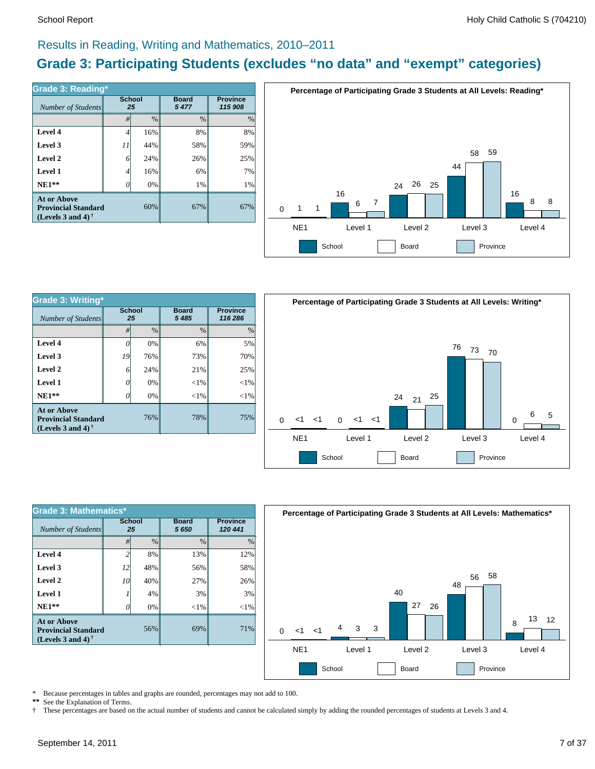# Results in Reading, Writing and Mathematics, 2010–2011

# **Grade 3: Participating Students (excludes "no data" and "exempt" categories)**

| Grade 3: Reading*<br>Number of Students                                        | <b>School</b> | 25   | <b>Board</b><br>5477 | <b>Province</b><br>115 908 |
|--------------------------------------------------------------------------------|---------------|------|----------------------|----------------------------|
|                                                                                | #             | $\%$ | $\frac{0}{0}$        | $\%$                       |
| Level 4                                                                        | 4             | 16%  | 8%                   | 8%                         |
| Level 3                                                                        | 11            | 44%  | 58%                  | 59%                        |
| Level 2                                                                        | 6             | 24%  | 26%                  | 25%                        |
| Level 1                                                                        | 4             | 16%  | 6%                   | 7%                         |
| $NE1**$                                                                        | 0             | 0%   | $1\%$                | 1%                         |
| <b>At or Above</b><br><b>Provincial Standard</b><br>(Levels 3 and 4) $\dagger$ |               | 60%  | 67%                  | 67%                        |



| <b>Grade 3: Writing*</b>                                                       |               |               |                         |                            |          |                 | <b>Percentage of Participa</b> |          |         |         |
|--------------------------------------------------------------------------------|---------------|---------------|-------------------------|----------------------------|----------|-----------------|--------------------------------|----------|---------|---------|
| Number of Students                                                             | <b>School</b> | 25            | <b>Board</b><br>5 4 8 5 | <b>Province</b><br>116 286 |          |                 |                                |          |         |         |
|                                                                                | #             | $\frac{0}{0}$ | $\frac{0}{0}$           | $\%$                       |          |                 |                                |          |         |         |
| Level 4                                                                        | 0             | 0%            | 6%                      | 5%                         |          |                 |                                |          |         |         |
| Level 3                                                                        | 19            | 76%           | 73%                     | 70%                        |          |                 |                                |          |         |         |
| Level 2                                                                        | 6             | 24%           | 21%                     | 25%                        |          |                 |                                |          |         |         |
| Level 1                                                                        | 0             | 0%            | ${<}1\%$                | ${<}1\%$                   |          |                 |                                |          |         |         |
| $NE1**$                                                                        | 0             | 0%            | $< 1\%$                 | ${<}1\%$                   |          |                 |                                |          |         |         |
| <b>At or Above</b><br><b>Provincial Standard</b><br>(Levels 3 and 4) $\dagger$ |               | 76%           | 78%                     | 75%                        | $\Omega$ | –<1             | —<1                            | $\Omega$ | $<$ 1   | $\,<\,$ |
|                                                                                |               |               |                         |                            |          | NE <sub>1</sub> |                                |          | Level 1 |         |



| <b>Grade 3: Mathematics*</b>                                                   |                 |               |                      |                            |  |  |  |  |  |  |
|--------------------------------------------------------------------------------|-----------------|---------------|----------------------|----------------------------|--|--|--|--|--|--|
| Number of Students                                                             | School<br>25    |               | <b>Board</b><br>5650 | <b>Province</b><br>120 441 |  |  |  |  |  |  |
|                                                                                | #               | $\frac{0}{0}$ | $\frac{0}{0}$        | $\%$                       |  |  |  |  |  |  |
| Level 4                                                                        | $\mathfrak{D}$  | 8%            | 13%                  | 12%                        |  |  |  |  |  |  |
| Level 3                                                                        | 12              | 48%           | 56%                  | 58%                        |  |  |  |  |  |  |
| Level 2                                                                        | 10 <sup> </sup> | 40%           | 27%                  | 26%                        |  |  |  |  |  |  |
| Level 1                                                                        |                 | 4%            | 3%                   | 3%                         |  |  |  |  |  |  |
| $NE1**$                                                                        | 0               | 0%            | $<$ 1%               | $<$ 1%                     |  |  |  |  |  |  |
| <b>At or Above</b><br><b>Provincial Standard</b><br>(Levels 3 and 4) $\dagger$ |                 | 56%           | 69%                  | 71%                        |  |  |  |  |  |  |



\* Because percentages in tables and graphs are rounded, percentages may not add to 100.<br>\*\* See the Explanation of Terms See the Explanation of Terms.

† These percentages are based on the actual number of students and cannot be calculated simply by adding the rounded percentages of students at Levels 3 and 4.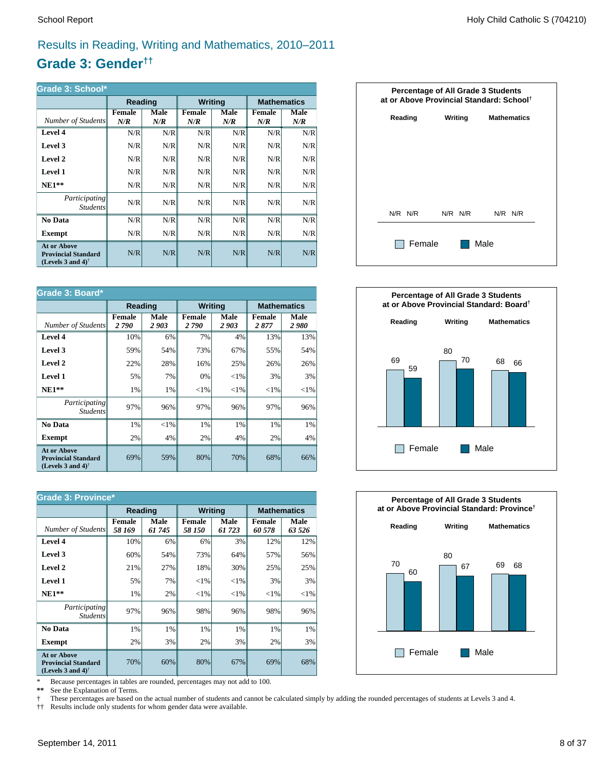# Results in Reading, Writing and Mathematics, 2010–2011

# **Grade 3: Gender††**

| Grade 3: School*                                                                                     |                      |             |                      |             |                      |             |  |  |  |  |
|------------------------------------------------------------------------------------------------------|----------------------|-------------|----------------------|-------------|----------------------|-------------|--|--|--|--|
|                                                                                                      | Reading              |             | <b>Writing</b>       |             | <b>Mathematics</b>   |             |  |  |  |  |
| Number of Students                                                                                   | <b>Female</b><br>N/R | Male<br>N/R | <b>Female</b><br>N/R | Male<br>N/R | <b>Female</b><br>N/R | Male<br>N/R |  |  |  |  |
| Level 4                                                                                              | N/R                  | N/R         | N/R                  | N/R         | N/R                  | N/R         |  |  |  |  |
| Level 3                                                                                              | N/R                  | N/R         | N/R                  | N/R         | N/R                  | N/R         |  |  |  |  |
| Level 2                                                                                              | N/R                  | N/R         | N/R                  | N/R         | N/R                  | N/R         |  |  |  |  |
| Level 1                                                                                              | N/R                  | N/R         | N/R                  | N/R         | N/R                  | N/R         |  |  |  |  |
| $NE1**$                                                                                              | N/R                  | N/R         | N/R                  | N/R         | N/R                  | N/R         |  |  |  |  |
| <i>Participating</i><br><i>Students</i>                                                              | N/R                  | N/R         | N/R                  | N/R         | N/R                  | N/R         |  |  |  |  |
| No Data                                                                                              | N/R                  | N/R         | N/R                  | N/R         | N/R                  | N/R         |  |  |  |  |
| Exempt                                                                                               | N/R                  | N/R         | N/R                  | N/R         | N/R                  | N/R         |  |  |  |  |
| <b>At or Above</b><br><b>Provincial Standard</b><br>(Levels 3 and 4) <sup><math>\dagger</math></sup> | N/R                  | N/R         | N/R                  | N/R         | N/R                  | N/R         |  |  |  |  |

| Grade 3: Board*                                                                                      |                       |              |                       |              |                       |              |  |  |  |  |
|------------------------------------------------------------------------------------------------------|-----------------------|--------------|-----------------------|--------------|-----------------------|--------------|--|--|--|--|
|                                                                                                      | Reading               |              | <b>Writing</b>        |              | <b>Mathematics</b>    |              |  |  |  |  |
| Number of Students                                                                                   | <b>Female</b><br>2790 | Male<br>2903 | <b>Female</b><br>2790 | Male<br>2903 | <b>Female</b><br>2877 | Male<br>2980 |  |  |  |  |
| Level 4                                                                                              | 10%                   | 6%           | 7%                    | 4%           | 13%                   | 13%          |  |  |  |  |
| Level 3                                                                                              | 59%                   | 54%          | 73%                   | 67%          | 55%                   | 54%          |  |  |  |  |
| Level 2                                                                                              | 22%                   | 28%          | 16%                   | 25%          | 26%                   | 26%          |  |  |  |  |
| <b>Level 1</b>                                                                                       | 5%                    | 7%           | 0%                    | ${<}1\%$     | 3%                    | 3%           |  |  |  |  |
| $NE1**$                                                                                              | 1%                    | 1%           | ${<}1\%$              | ${<}1\%$     | ${<}1\%$              | ${<}1\%$     |  |  |  |  |
| Participating<br><b>Students</b>                                                                     | 97%                   | 96%          | 97%                   | 96%          | 97%                   | 96%          |  |  |  |  |
| No Data                                                                                              | 1%                    | ${<}1\%$     | 1%                    | 1%           | 1%                    | 1%           |  |  |  |  |
| Exempt                                                                                               | 2%                    | 4%           | 2%                    | 4%           | 2%                    | 4%           |  |  |  |  |
| <b>At or Above</b><br><b>Provincial Standard</b><br>(Levels 3 and 4) <sup><math>\dagger</math></sup> | 69%                   | 59%          | 80%                   | 70%          | 68%                   | 66%          |  |  |  |  |

| <b>Grade 3: Province*</b>                                                      |                         |                |                         |                |                         |                |  |  |  |  |
|--------------------------------------------------------------------------------|-------------------------|----------------|-------------------------|----------------|-------------------------|----------------|--|--|--|--|
|                                                                                | Reading                 |                | <b>Writing</b>          |                | <b>Mathematics</b>      |                |  |  |  |  |
| Number of Students                                                             | <b>Female</b><br>58 169 | Male<br>61 745 | <b>Female</b><br>58 150 | Male<br>61 723 | <b>Female</b><br>60 578 | Male<br>63 526 |  |  |  |  |
| Level 4                                                                        | 10%                     | 6%             | 6%                      | 3%             | 12%                     | 12%            |  |  |  |  |
| Level 3                                                                        | 60%                     | 54%            | 73%                     | 64%            | 57%                     | 56%            |  |  |  |  |
| Level 2                                                                        | 21%                     | 27%            | 18%                     | 30%            | 25%                     | 25%            |  |  |  |  |
| Level 1                                                                        | 5%                      | 7%             | ${<}1\%$                | ${<}1\%$       | 3%                      | 3%             |  |  |  |  |
| $NE1**$                                                                        | 1%                      | 2%             | ${<}1\%$                | ${<}1\%$       | ${<}1\%$                | ${<}1\%$       |  |  |  |  |
| <i>Participating</i><br><i>Students</i>                                        | 97%                     | 96%            | 98%                     | 96%            | 98%                     | 96%            |  |  |  |  |
| No Data                                                                        | 1%                      | 1%             | 1%                      | 1%             | 1%                      | 1%             |  |  |  |  |
| <b>Exempt</b>                                                                  | 2%                      | 3%             | 2%                      | 3%             | 2%                      | 3%             |  |  |  |  |
| <b>At or Above</b><br><b>Provincial Standard</b><br>(Levels 3 and 4) $\dagger$ | 70%                     | 60%            | 80%                     | 67%            | 69%                     | 68%            |  |  |  |  |

\* Because percentages in tables are rounded, percentages may not add to 100.<br>\*\* See the Explanation of Terms.

See the Explanation of Terms.

† These percentages are based on the actual number of students and cannot be calculated simply by adding the rounded percentages of students at Levels 3 and 4.<br>†† Results include only students for whom gender data were ava

†† Results include only students for whom gender data were available.





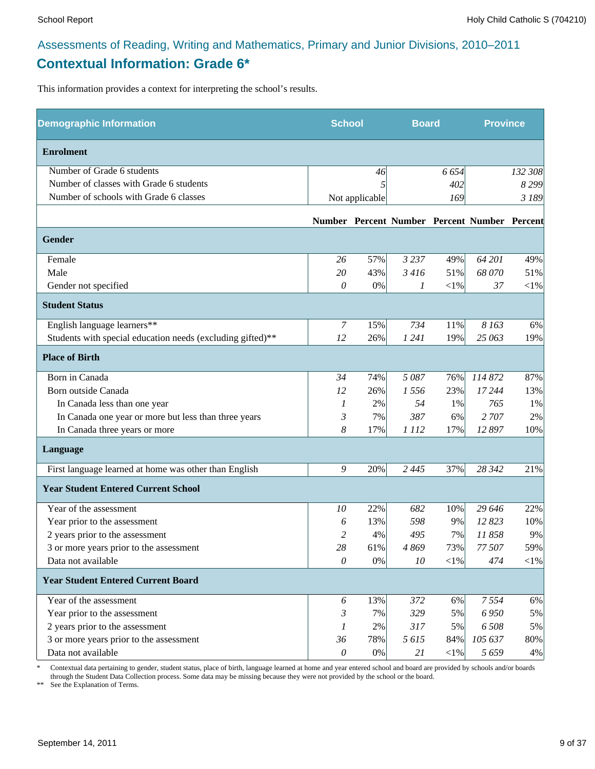# Assessments of Reading, Writing and Mathematics, Primary and Junior Divisions, 2010–2011 **Contextual Information: Grade 6\***

This information provides a context for interpreting the school's results.

| <b>Demographic Information</b>                             | <b>School</b> |                | <b>Board</b> |            | <b>Province</b>                              |            |
|------------------------------------------------------------|---------------|----------------|--------------|------------|----------------------------------------------|------------|
| <b>Enrolment</b>                                           |               |                |              |            |                                              |            |
| Number of Grade 6 students                                 |               | 46             |              | 6 6 5 4    |                                              | 132 308    |
| Number of classes with Grade 6 students                    |               | 5              |              | 402        |                                              | 8 2 9 9    |
| Number of schools with Grade 6 classes                     |               | Not applicable |              | 169        |                                              | 3 189      |
|                                                            |               |                |              |            | Number Percent Number Percent Number Percent |            |
| <b>Gender</b>                                              |               |                |              |            |                                              |            |
| Female                                                     | 26            | 57%            | 3 2 3 7      | 49%        | 64 201                                       | 49%        |
| Male                                                       | 20            | 43%            | 3 4 16       | 51%        | 68 070                                       | 51%        |
| Gender not specified                                       | 0             | 0%             | 1            | $<\!\!1\%$ | 37                                           | $<$ 1%     |
| <b>Student Status</b>                                      |               |                |              |            |                                              |            |
| English language learners**                                | 7             | 15%            | 734          | 11%        | 8 1 6 3                                      | 6%         |
| Students with special education needs (excluding gifted)** | 12            | 26%            | 1 2 4 1      | 19%        | 25 063                                       | 19%        |
| <b>Place of Birth</b>                                      |               |                |              |            |                                              |            |
| Born in Canada                                             | 34            | 74%            | 5 0 8 7      | 76%        | 114 872                                      | 87%        |
| Born outside Canada                                        | 12            | 26%            | 1556         | 23%        | 17 244                                       | 13%        |
| In Canada less than one year                               | 1             | 2%             | 54           | 1%         | 765                                          | 1%         |
| In Canada one year or more but less than three years       | 3             | 7%             | 387          | 6%         | 2 707                                        | 2%         |
| In Canada three years or more                              | 8             | 17%            | 1 1 1 2      | 17%        | 12 897                                       | 10%        |
| Language                                                   |               |                |              |            |                                              |            |
| First language learned at home was other than English      | 9             | 20%            | 2 4 4 5      | 37%        | 28 342                                       | 21%        |
| <b>Year Student Entered Current School</b>                 |               |                |              |            |                                              |            |
| Year of the assessment                                     | 10            | 22%            | 682          | 10%        | 29 646                                       | 22%        |
| Year prior to the assessment                               | 6             | 13%            | 598          | 9%         | 12823                                        | 10%        |
| 2 years prior to the assessment                            | 2             | 4%             | 495          | 7%         | 11858                                        | 9%         |
| 3 or more years prior to the assessment                    | $28\,$        | 61%            | 4869         | 73%        | 77 507                                       | 59%        |
| Data not available                                         | $\mathcal O$  | $0\%$          | 10           | $<\!\!1\%$ | 474                                          | $<\!\!1\%$ |
| <b>Year Student Entered Current Board</b>                  |               |                |              |            |                                              |            |
| Year of the assessment                                     | 6             | 13%            | 372          | 6%         | 7554                                         | 6%         |
| Year prior to the assessment                               | 3             | 7%             | 329          | 5%         | 6 9 5 0                                      | 5%         |
| 2 years prior to the assessment                            | 1             | 2%             | 317          | 5%         | 6 508                                        | 5%         |
| 3 or more years prior to the assessment                    | 36            | 78%            | 5615         | 84%        | 105 637                                      | 80%        |
| Data not available                                         | $\theta$      | $0\%$          | 21           | $<$ 1%     | 5659                                         | 4%         |

\* Contextual data pertaining to gender, student status, place of birth, language learned at home and year entered school and board are provided by schools and/or boards through the Student Data Collection process. Some data may be missing because they were not provided by the school or the board.

\*\* See the Explanation of Terms.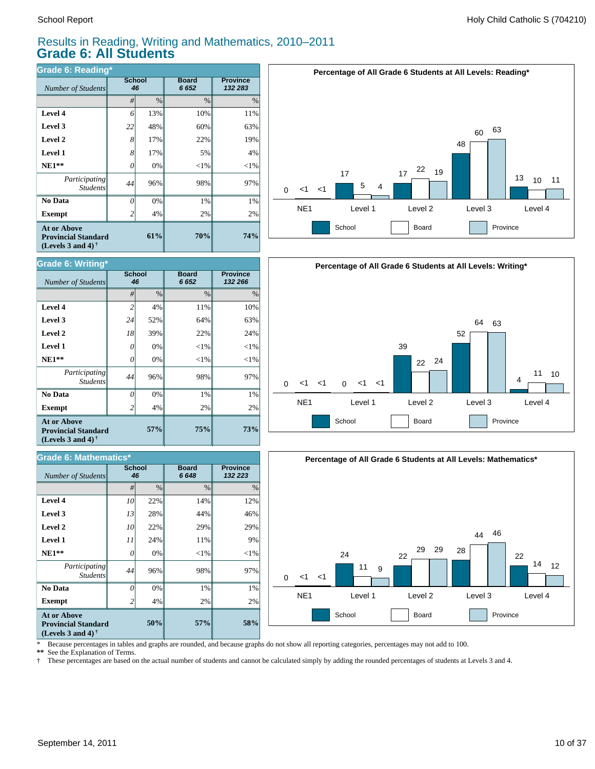# Results in Reading, Writing and Mathematics, 2010–2011 **Grade 6: All Students**

| Grade 6: Reading*                                                                     |                |                     |                      |                            |  |  |  |  |  |
|---------------------------------------------------------------------------------------|----------------|---------------------|----------------------|----------------------------|--|--|--|--|--|
| Number of Students                                                                    |                | <b>School</b><br>46 | <b>Board</b><br>6652 | <b>Province</b><br>132 283 |  |  |  |  |  |
|                                                                                       | #              | $\frac{0}{0}$       | $\frac{0}{0}$        | $\%$                       |  |  |  |  |  |
| Level 4                                                                               | 6              | 13%                 | 10%                  | 11%                        |  |  |  |  |  |
| Level 3                                                                               | 22             | 48%                 | 60%                  | 63%                        |  |  |  |  |  |
| Level 2                                                                               | 8              | 17%                 | 22%                  | 19%                        |  |  |  |  |  |
| Level 1                                                                               | 8              | 17%                 | 5%                   | 4%                         |  |  |  |  |  |
| $NE1**$                                                                               | 0              | 0%                  | $<$ 1%               | $<$ 1%                     |  |  |  |  |  |
| <i>Participating</i><br><b>Students</b>                                               | 44             | 96%                 | 98%                  | 97%                        |  |  |  |  |  |
| No Data                                                                               | 0              | 0%                  | 1%                   | 1%                         |  |  |  |  |  |
| <b>Exempt</b>                                                                         | $\overline{2}$ | 4%                  | 2%                   | 2%                         |  |  |  |  |  |
| <b>At or Above</b><br>61%<br><b>Provincial Standard</b><br>(Levels 3 and 4) $\dagger$ |                |                     | 70%                  | 74%                        |  |  |  |  |  |



| Grade 6: Writing*<br><b>Number of Students</b>                                                       | <b>School</b><br>46 |               | <b>Board</b><br>6652 | <b>Province</b><br>132 266 |  |
|------------------------------------------------------------------------------------------------------|---------------------|---------------|----------------------|----------------------------|--|
|                                                                                                      | #                   | $\frac{0}{0}$ | $\frac{0}{0}$        | $\%$                       |  |
| Level 4                                                                                              | $\overline{c}$      | 4%            | 11%                  | 10%                        |  |
| Level 3                                                                                              | 24                  | 52%           | 64%                  | 63%                        |  |
| Level 2                                                                                              | 18                  | 39%           | 22%                  | 24%                        |  |
| Level 1                                                                                              | 0                   | 0%            | ${<}1\%$             | $<$ 1%                     |  |
| $NE1**$                                                                                              | 0                   | 0%            | ${<}1\%$             | $<$ 1%                     |  |
| Participating<br><b>Students</b>                                                                     | 44                  | 96%           | 98%                  | 97%                        |  |
| No Data                                                                                              | $\theta$            | 0%            | 1%                   | 1%                         |  |
| <b>Exempt</b>                                                                                        | 2                   | 4%            | 2%                   | 2%                         |  |
| <b>At or Above</b><br><b>Provincial Standard</b><br>(Levels 3 and 4) <sup><math>\dagger</math></sup> |                     | 57%           | 75%                  | <b>73%</b>                 |  |

| <b>Grade 6: Mathematics*</b>                                                                                |                     |      |                      |                            |  |  |  |  |
|-------------------------------------------------------------------------------------------------------------|---------------------|------|----------------------|----------------------------|--|--|--|--|
| Number of Students                                                                                          | <b>School</b><br>46 |      | <b>Board</b><br>6648 | <b>Province</b><br>132 223 |  |  |  |  |
|                                                                                                             | #                   | $\%$ | $\frac{0}{0}$        | $\%$                       |  |  |  |  |
| Level 4                                                                                                     | 10                  | 22%  | 14%                  | 12%                        |  |  |  |  |
| Level 3                                                                                                     | 13                  | 28%  | 44%                  | 46%                        |  |  |  |  |
| Level 2                                                                                                     | 10                  | 22%  | 29%                  | 29%                        |  |  |  |  |
| <b>Level 1</b>                                                                                              | 11                  | 24%  | 11%                  | 9%                         |  |  |  |  |
| $NE1**$                                                                                                     | 0                   | 0%   | $<$ 1%               | $<$ 1%                     |  |  |  |  |
| Participating<br><b>Students</b>                                                                            | 44                  | 96%  | 98%                  | 97%                        |  |  |  |  |
| No Data                                                                                                     | 0                   | 0%   | 1%                   | 1%                         |  |  |  |  |
| <b>Exempt</b>                                                                                               |                     | 4%   | 2%                   | 2%                         |  |  |  |  |
| <b>At or Above</b><br>50%<br><b>Provincial Standard</b><br>(Levels 3 and 4) <sup><math>\dagger</math></sup> |                     |      | 57%                  | 58%                        |  |  |  |  |





\* Because percentages in tables and graphs are rounded, and because graphs do not show all reporting categories, percentages may not add to 100.

**\*\*** See the Explanation of Terms.

† These percentages are based on the actual number of students and cannot be calculated simply by adding the rounded percentages of students at Levels 3 and 4.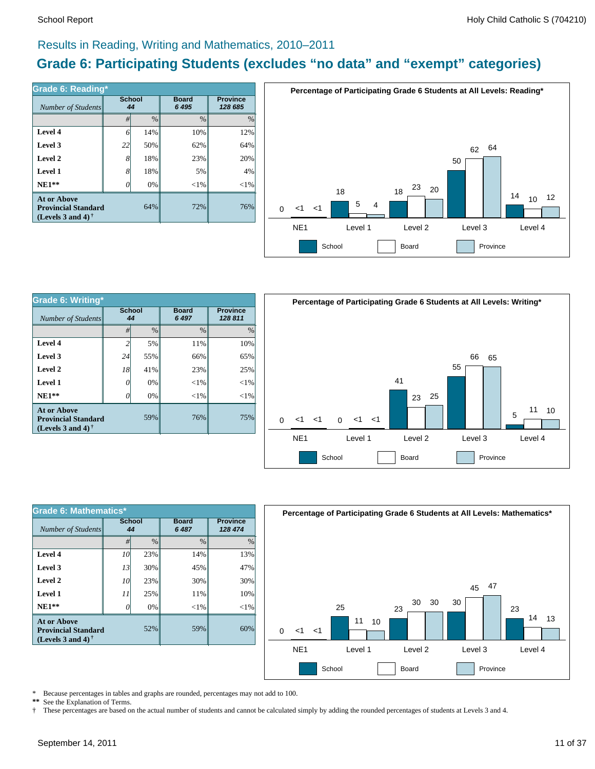# Results in Reading, Writing and Mathematics, 2010–2011

# **Grade 6: Participating Students (excludes "no data" and "exempt" categories)**

| Grade 6: Reading*<br>Number of Students                                        | <b>School</b><br>44 |               | <b>Board</b><br>6 4 9 5 | <b>Province</b><br>128 685 |  |
|--------------------------------------------------------------------------------|---------------------|---------------|-------------------------|----------------------------|--|
|                                                                                | #                   | $\frac{0}{0}$ | $\frac{0}{0}$           | $\%$                       |  |
| Level 4                                                                        | 6                   | 14%           | 10%                     | 12%                        |  |
| Level 3                                                                        | 22                  | 50%           | 62%                     | 64%                        |  |
| Level 2                                                                        | 8                   | 18%           | 23%                     | 20%                        |  |
| Level 1                                                                        | 8                   | 18%           | 5%                      | 4%                         |  |
| $NE1**$                                                                        | Ω                   | 0%            | $< 1\%$                 | $<$ 1%                     |  |
| <b>At or Above</b><br><b>Provincial Standard</b><br>(Levels 3 and 4) $\dagger$ |                     | 64%           | 72%                     | 76%                        |  |



| Grade 6: Writing*                                                              |    |                     |                         |                            |          | Per  |
|--------------------------------------------------------------------------------|----|---------------------|-------------------------|----------------------------|----------|------|
| Number of Students                                                             |    | <b>School</b><br>44 | <b>Board</b><br>6 4 9 7 | <b>Province</b><br>128 811 |          |      |
|                                                                                | #  | $\frac{0}{0}$       | $\frac{0}{0}$           | $\frac{0}{0}$              |          |      |
| Level 4                                                                        |    | 5%                  | 11%                     | 10%                        |          |      |
| Level 3                                                                        | 24 | 55%                 | 66%                     | 65%                        |          |      |
| Level 2                                                                        | 18 | 41%                 | 23%                     | 25%                        |          |      |
| Level 1                                                                        | 0  | 0%                  | ${<}1\%$                | ${<}1\%$                   |          |      |
| $NE1**$                                                                        | 0  | 0%                  | ${<}1\%$                | ${<}1\%$                   |          |      |
| <b>At or Above</b><br><b>Provincial Standard</b><br>(Levels 3 and 4) $\dagger$ |    | 59%                 | 76%                     | 75%                        | $\Omega$ | -1   |
|                                                                                |    |                     |                         |                            |          | NIE: |



| Grade 6: Mathematics*                                                                 |              |               |                         |                            |  |  |  |  |
|---------------------------------------------------------------------------------------|--------------|---------------|-------------------------|----------------------------|--|--|--|--|
| Number of Students                                                                    | School<br>44 |               | <b>Board</b><br>6 4 8 7 | <b>Province</b><br>128 474 |  |  |  |  |
|                                                                                       | #            | $\frac{0}{0}$ | $\frac{0}{0}$           | $\frac{0}{0}$              |  |  |  |  |
| Level 4                                                                               | 10           | 23%           | 14%                     | 13%                        |  |  |  |  |
| Level 3                                                                               | 13           | 30%           | 45%                     | 47%                        |  |  |  |  |
| Level 2                                                                               | 10           | 23%           | 30%                     | 30%                        |  |  |  |  |
| Level 1                                                                               | 11           | 25%           | 11%                     | 10%                        |  |  |  |  |
| $NE1**$                                                                               |              | 0%            | ${<}1\%$                | $<$ 1%                     |  |  |  |  |
| <b>At or Above</b><br>52%<br><b>Provincial Standard</b><br>(Levels 3 and 4) $\dagger$ |              |               | 59%                     | 60%                        |  |  |  |  |



\* Because percentages in tables and graphs are rounded, percentages may not add to 100.<br>\*\* See the Explanation of Terms See the Explanation of Terms.

† These percentages are based on the actual number of students and cannot be calculated simply by adding the rounded percentages of students at Levels 3 and 4.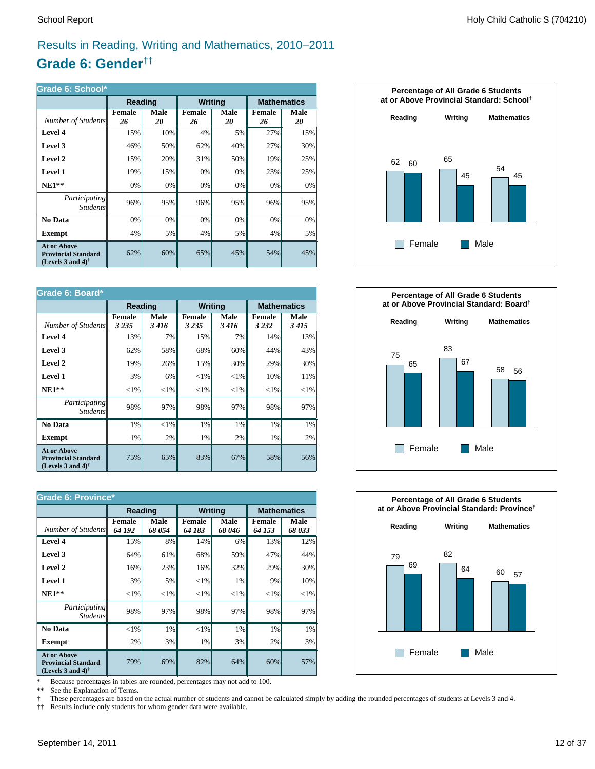# Results in Reading, Writing and Mathematics, 2010–2011

# **Grade 6: Gender††**

| Grade 6: School*                                                                                     |              |            |                |            |                     |            |  |
|------------------------------------------------------------------------------------------------------|--------------|------------|----------------|------------|---------------------|------------|--|
|                                                                                                      | Reading      |            | <b>Writing</b> |            | <b>Mathematics</b>  |            |  |
| Number of Students                                                                                   | Female<br>26 | Male<br>20 | Female<br>26   | Male<br>20 | <b>Female</b><br>26 | Male<br>20 |  |
| Level 4                                                                                              | 15%          | 10%        | 4%             | 5%         | 27%                 | 15%        |  |
| Level 3                                                                                              | 46%          | 50%        | 62%            | 40%        | 27%                 | 30%        |  |
| Level 2                                                                                              | 15%          | 20%        | 31%            | 50%        | 19%                 | 25%        |  |
| Level 1                                                                                              | 19%          | 15%        | 0%             | 0%         | 23%                 | 25%        |  |
| $NE1**$                                                                                              | 0%           | 0%         | 0%             | 0%         | 0%                  | 0%         |  |
| Participating<br><i>Students</i>                                                                     | 96%          | 95%        | 96%            | 95%        | 96%                 | 95%        |  |
| No Data                                                                                              | 0%           | 0%         | 0%             | 0%         | 0%                  | 0%         |  |
| <b>Exempt</b>                                                                                        | 4%           | 5%         | 4%             | 5%         | 4%                  | 5%         |  |
| <b>At or Above</b><br><b>Provincial Standard</b><br>(Levels 3 and 4) <sup><math>\dagger</math></sup> | 62%          | 60%        | 65%            | 45%        | 54%                 | 45%        |  |

| Grade 6: Board*                                                                |                          |              |                          |              |                    |              |  |
|--------------------------------------------------------------------------------|--------------------------|--------------|--------------------------|--------------|--------------------|--------------|--|
|                                                                                | Reading                  |              | <b>Writing</b>           |              | <b>Mathematics</b> |              |  |
| Number of Students                                                             | <b>Female</b><br>3 2 3 5 | Male<br>3416 | <b>Female</b><br>3 2 3 5 | Male<br>3416 | Female<br>3 2 3 2  | Male<br>3415 |  |
| Level 4                                                                        | 13%                      | 7%           | 15%                      | 7%           | 14%                | 13%          |  |
| Level 3                                                                        | 62%                      | 58%          | 68%                      | 60%          | 44%                | 43%          |  |
| Level 2                                                                        | 19%                      | 26%          | 15%                      | 30%          | 29%                | 30%          |  |
| Level 1                                                                        | 3%                       | 6%           | ${<}1\%$                 | ${<}1\%$     | 10%                | 11%          |  |
| $NE1**$                                                                        | ${<}1\%$                 | ${<}1\%$     | ${<}1\%$                 | ${<}1\%$     | ${<}1\%$           | ${<}1\%$     |  |
| Participating<br><i>Students</i>                                               | 98%                      | 97%          | 98%                      | 97%          | 98%                | 97%          |  |
| No Data                                                                        | 1%                       | $<$ 1%       | 1%                       | 1%           | 1%                 | 1%           |  |
| <b>Exempt</b>                                                                  | 1%                       | 2%           | 1%                       | 2%           | 1%                 | 2%           |  |
| <b>At or Above</b><br><b>Provincial Standard</b><br>(Levels 3 and 4) $\dagger$ | 75%                      | 65%          | 83%                      | 67%          | 58%                | 56%          |  |

| <b>Grade 6: Province*</b>                                                      |                         |               |                         |                |                         |                    |  |
|--------------------------------------------------------------------------------|-------------------------|---------------|-------------------------|----------------|-------------------------|--------------------|--|
|                                                                                | Reading                 |               | <b>Writing</b>          |                |                         | <b>Mathematics</b> |  |
| Number of Students                                                             | <b>Female</b><br>64 192 | Male<br>68054 | <b>Female</b><br>64 183 | Male<br>68 046 | <b>Female</b><br>64 153 | Male<br>68033      |  |
| Level 4                                                                        | 15%                     | 8%            | 14%                     | 6%             | 13%                     | 12%                |  |
| Level 3                                                                        | 64%                     | 61%           | 68%                     | 59%            | 47%                     | 44%                |  |
| Level 2                                                                        | 16%                     | 23%           | 16%                     | 32%            | 29%                     | 30%                |  |
| Level 1                                                                        | 3%                      | 5%            | ${<}1\%$                | 1%             | 9%                      | 10%                |  |
| $NE1**$                                                                        | ${<}1\%$                | ${<}1\%$      | ${<}1\%$                | ${<}1\%$       | ${<}1\%$                | ${<}1\%$           |  |
| <i>Participating</i><br><i>Students</i>                                        | 98%                     | 97%           | 98%                     | 97%            | 98%                     | 97%                |  |
| No Data                                                                        | $<$ 1%                  | 1%            | ${<}1\%$                | 1%             | 1%                      | 1%                 |  |
| <b>Exempt</b>                                                                  | 2%                      | 3%            | 1%                      | 3%             | 2%                      | 3%                 |  |
| <b>At or Above</b><br><b>Provincial Standard</b><br>(Levels 3 and 4) $\dagger$ | 79%                     | 69%           | 82%                     | 64%            | 60%                     | 57%                |  |

\* Because percentages in tables are rounded, percentages may not add to 100.<br>\*\* See the Explanation of Terms.

See the Explanation of Terms.

† These percentages are based on the actual number of students and cannot be calculated simply by adding the rounded percentages of students at Levels 3 and 4.<br>†† Results include only students for whom gender data were ava

†† Results include only students for whom gender data were available.





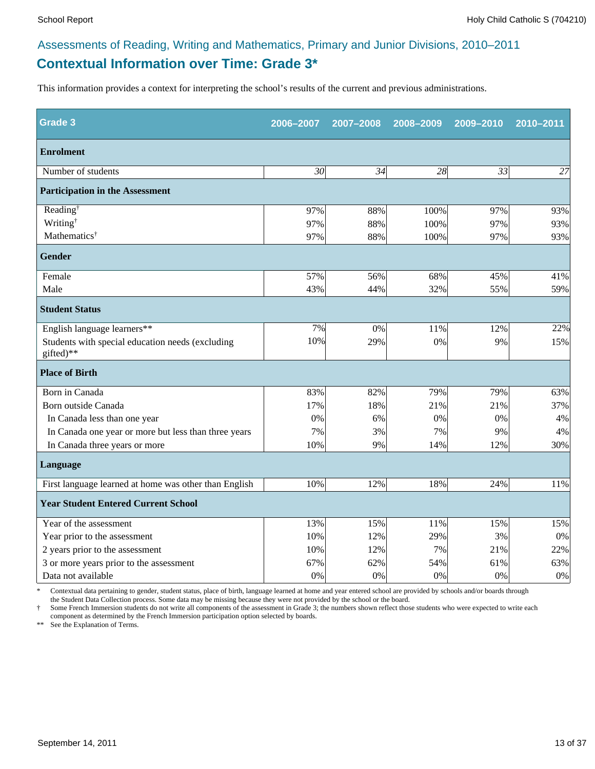# **Contextual Information over Time: Grade 3\*** Assessments of Reading, Writing and Mathematics, Primary and Junior Divisions, 2010–2011

This information provides a context for interpreting the school's results of the current and previous administrations.

| <b>Grade 3</b>                                                | 2006-2007       | 2007-2008 | 2008-2009       | 2009-2010       | 2010-2011 |
|---------------------------------------------------------------|-----------------|-----------|-----------------|-----------------|-----------|
| <b>Enrolment</b>                                              |                 |           |                 |                 |           |
| Number of students                                            | $\overline{30}$ | 34        | $\overline{28}$ | $\overline{33}$ | 27        |
| <b>Participation in the Assessment</b>                        |                 |           |                 |                 |           |
| Reading <sup>†</sup>                                          | 97%             | 88%       | 100%            | 97%             | 93%       |
| Writing <sup>†</sup>                                          | 97%             | 88%       | 100%            | 97%             | 93%       |
| Mathematics <sup>†</sup>                                      | 97%             | 88%       | 100%            | 97%             | 93%       |
| <b>Gender</b>                                                 |                 |           |                 |                 |           |
| Female                                                        | 57%             | 56%       | 68%             | 45%             | 41%       |
| Male                                                          | 43%             | 44%       | 32%             | 55%             | 59%       |
| <b>Student Status</b>                                         |                 |           |                 |                 |           |
| English language learners**                                   | 7%              | 0%        | 11%             | 12%             | 22%       |
| Students with special education needs (excluding<br>gifted)** | 10%             | 29%       | 0%              | 9%              | 15%       |
| <b>Place of Birth</b>                                         |                 |           |                 |                 |           |
| Born in Canada                                                | 83%             | 82%       | 79%             | 79%             | 63%       |
| Born outside Canada                                           | 17%             | 18%       | 21%             | 21%             | 37%       |
| In Canada less than one year                                  | 0%              | 6%        | 0%              | 0%              | 4%        |
| In Canada one year or more but less than three years          | 7%              | 3%        | 7%              | 9%              | 4%        |
| In Canada three years or more                                 | 10%             | 9%        | 14%             | 12%             | 30%       |
| Language                                                      |                 |           |                 |                 |           |
| First language learned at home was other than English         | 10%             | 12%       | 18%             | 24%             | 11%       |
| <b>Year Student Entered Current School</b>                    |                 |           |                 |                 |           |
| Year of the assessment                                        | 13%             | 15%       | 11%             | 15%             | 15%       |
| Year prior to the assessment                                  | 10%             | 12%       | 29%             | 3%              | 0%        |
| 2 years prior to the assessment                               | 10%             | 12%       | 7%              | 21%             | 22%       |
| 3 or more years prior to the assessment                       | 67%             | 62%       | 54%             | 61%             | 63%       |
| Data not available                                            | 0%              | 0%        | 0%              | 0%              | $0\%$     |

\* Contextual data pertaining to gender, student status, place of birth, language learned at home and year entered school are provided by schools and/or boards through the Student Data Collection process. Some data may be missing because they were not provided by the school or the board.

† Some French Immersion students do not write all components of the assessment in Grade 3; the numbers shown reflect those students who were expected to write each component as determined by the French Immersion participation option selected by boards.

\*\* See the Explanation of Terms.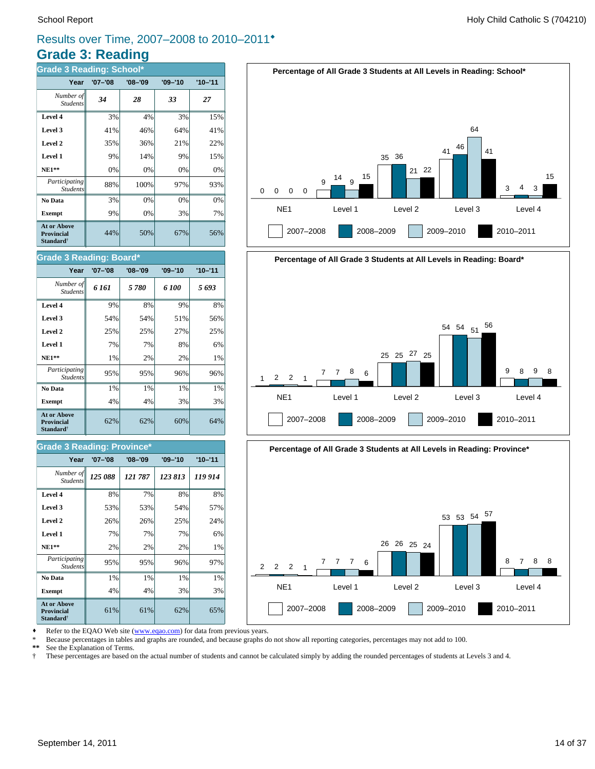# **Grade 3: Reading** Results over Time, 2007–2008 to 2010–2011®

| <b>Grade 3 Reading: School*</b>                                         |             |             |             |             |  |  |  |  |
|-------------------------------------------------------------------------|-------------|-------------|-------------|-------------|--|--|--|--|
| Year                                                                    | $'07 - '08$ | $'08 - '09$ | $'09 - '10$ | $'10 - '11$ |  |  |  |  |
| Number of<br><b>Students</b>                                            | 34          | 28          | 33          | 27          |  |  |  |  |
| Level 4                                                                 | 3%          | 4%          | 3%          | 15%         |  |  |  |  |
| Level 3                                                                 | 41%         | 46%         | 64%         | 41%         |  |  |  |  |
| Level 2                                                                 | 35%         | 36%         | 21%         | 22%         |  |  |  |  |
| Level 1                                                                 | 9%          | 14%         | 9%          | 15%         |  |  |  |  |
| $NE1**$                                                                 | 0%          | 0%          | 0%          | 0%          |  |  |  |  |
| Participating<br><b>Students</b>                                        | 88%         | 100%        | 97%         | 93%         |  |  |  |  |
| No Data                                                                 | 3%          | 0%          | 0%          | 0%          |  |  |  |  |
| <b>Exempt</b>                                                           | 9%          | 0%          | 3%          | 7%          |  |  |  |  |
| <b>At or Above</b><br><b>Provincial</b><br><b>Standard</b> <sup>†</sup> | 44%         | 50%         | 67%         | 56%         |  |  |  |  |

# **Percentage of All Grade 3 Students at All Levels in Reading: School\***







Refer to the EQAO Web site (www.eqao.com) for data from previous years.

\* Because percentages in tables and graphs are rounded, and because graphs do not show all reporting categories, percentages may not add to 100.

**\*\*** See the Explanation of Terms.

† These percentages are based on the actual number of students and cannot be calculated simply by adding the rounded percentages of students at Levels 3 and 4.

# **Grade 3 Reading: Board\***

| Year                                                                    | '07-'08 | $'08 - '09$ | $'09 - '10$ | $'10 - '11$ |
|-------------------------------------------------------------------------|---------|-------------|-------------|-------------|
| Number of<br><b>Students</b>                                            | 6 161   | 5780        | 6 100       | 5 693       |
| Level 4                                                                 | 9%      | 8%          | 9%          | 8%          |
| Level 3                                                                 | 54%     | 54%         | 51%         | 56%         |
| Level 2                                                                 | 25%     | 25%         | 27%         | 25%         |
| Level 1                                                                 | 7%      | 7%          | 8%          | 6%          |
| $NE1**$                                                                 | 1%      | 2%          | 2%          | 1%          |
| Participating<br><b>Students</b>                                        | 95%     | 95%         | 96%         | 96%         |
| No Data                                                                 | 1%      | 1%          | 1%          | 1%          |
| <b>Exempt</b>                                                           | 4%      | 4%          | 3%          | 3%          |
| <b>At or Above</b><br><b>Provincial</b><br><b>Standard</b> <sup>†</sup> | 62%     | 62%         | 60%         | 64%         |

#### **Grade 3 Reading: Province\***

| Year                                                                    | $'07 - '08$ | $'08 - '09$ | $'09 - '10$ | $'10 - '11$ |  |  |  |  |
|-------------------------------------------------------------------------|-------------|-------------|-------------|-------------|--|--|--|--|
| Number of<br><b>Students</b>                                            | 125 088     | 121 787     | 123 813     | 119 914     |  |  |  |  |
| Level 4                                                                 | 8%          | 7%          | 8%          | 8%          |  |  |  |  |
| Level 3                                                                 | 53%         | 53%         | 54%         | 57%         |  |  |  |  |
| Level 2                                                                 | 26%         | 26%         | 25%         | 24%         |  |  |  |  |
| Level 1                                                                 | 7%          | 7%          | 7%          | 6%          |  |  |  |  |
| $NE1**$                                                                 | 2%          | 2%          | 2%          | 1%          |  |  |  |  |
| Participating<br><b>Students</b>                                        | 95%         | 95%         | 96%         | 97%         |  |  |  |  |
| No Data                                                                 | 1%          | 1%          | 1%          | 1%          |  |  |  |  |
| <b>Exempt</b>                                                           | 4%          | 4%          | 3%          | 3%          |  |  |  |  |
| <b>At or Above</b><br><b>Provincial</b><br><b>Standard</b> <sup>†</sup> | 61%         | 61%         | 62%         | 65%         |  |  |  |  |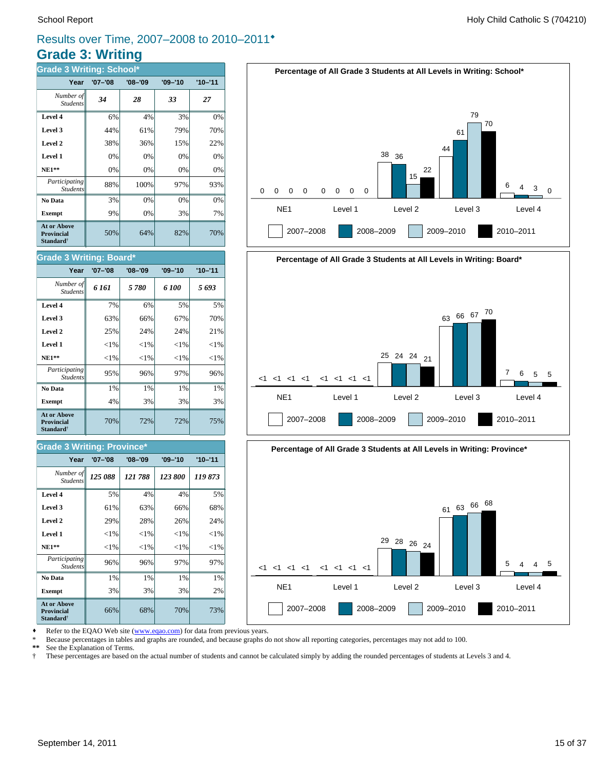# **Grade 3: Writing** Results over Time, 2007–2008 to 2010–2011®

| <b>Grade 3 Writing: School*</b>                                  |             |             |             |             |
|------------------------------------------------------------------|-------------|-------------|-------------|-------------|
| Year                                                             | $'07 - '08$ | $'08 - '09$ | $'09 - '10$ | $'10 - '11$ |
| Number of<br><b>Students</b>                                     | 34          | 28          | 33          | 27          |
| Level 4                                                          | 6%          | 4%          | 3%          | 0%          |
| Level 3                                                          | 44%         | 61%         | 79%         | 70%         |
| Level 2                                                          | 38%         | 36%         | 15%         | 22%         |
| Level 1                                                          | 0%          | 0%          | 0%          | 0%          |
| $NE1**$                                                          | 0%          | 0%          | 0%          | 0%          |
| Participating<br><b>Students</b>                                 | 88%         | 100%        | 97%         | 93%         |
| No Data                                                          | 3%          | 0%          | 0%          | 0%          |
| <b>Exempt</b>                                                    | 9%          | 0%          | 3%          | 7%          |
| <b>At or Above</b><br>Provincial<br><b>Standard</b> <sup>†</sup> | 50%         | 64%         | 82%         | 70%         |







Refer to the EQAO Web site (www.eqao.com) for data from previous years.

**Exempt**  $\begin{vmatrix} 3\% & 3\% \end{vmatrix}$  3% 3% 2% **No Data**  $\begin{array}{|c|c|c|c|} \hline \textbf{No Data} & 1\% & 1\% & 1\% \hline \end{array}$ *Participating* 96% 96% 97% 97%

**NE1\*\***  $|\hspace{-.06cm}1\%| \hspace{-.06cm} <1\%| \hspace{-.06cm} <1\%$   $|\hspace{-.06cm}1\%| \hspace{-.06cm} <1\%$  **Level 1** <1% <1% <1% <1% **Level 2**  $\begin{array}{|c|c|c|c|c|} \hline \end{array}$  29% 28% 26% 24% **Level 3**  $\begin{vmatrix} 61\% & 63\% \end{vmatrix}$  66% 68% **Level 4**  $\begin{array}{|c|c|c|c|c|} \hline \end{array}$  5% 4% 4% 5%

66% 68% 70% 73%

70% 72% 72% 75%

**Exempt**  $\begin{vmatrix} 4\% & 3\% \end{vmatrix}$  3% 3% 3% **No Data**  $\begin{array}{|c|c|c|c|} \hline \textbf{No Data} & 1\% & 1\% & 1\% \hline \end{array}$ *Participating* 95% 96% 97% 96%

*125 088 121 788 123 800 119 873 Number of*

**Year '07–'08 '08–'09 '09–'10 '10–'11**

**NE1\*\***  $|\hspace{-.06cm}1\%| \hspace{-.06cm} <1\%| \hspace{-.06cm} <1\%$   $|\hspace{-.06cm}1\%| \hspace{-.06cm} <1\%$ **Level 1**  $\left| \begin{array}{c} | & | & | \leq 1\% & | & | \leq 1\% & | \leq 1\% & | \end{array} \right|$ **Level 2**  $\begin{vmatrix} 25\% & 24\% \end{vmatrix}$  24% 24% 21% **Level 3**  $\begin{vmatrix} 63\% & 66\% \end{vmatrix}$  67% 67% 70% **Level 4** 7% 6% 5% 5%

*6 161 5 780 6 100 5 693 Number of*

**Year '07–'08 '08–'09 '09–'10 '10–'11**

\* Because percentages in tables and graphs are rounded, and because graphs do not show all reporting categories, percentages may not add to 100.

**\*\*** See the Explanation of Terms.

*Student* 

**At or Above Provincial Standard**†

*Students*

**Grade 3 Writing: Province\***

Students

**At or Above Provincial Standard**†

Student.

**Grade 3 Writing: Board\***

† These percentages are based on the actual number of students and cannot be calculated simply by adding the rounded percentages of students at Levels 3 and 4.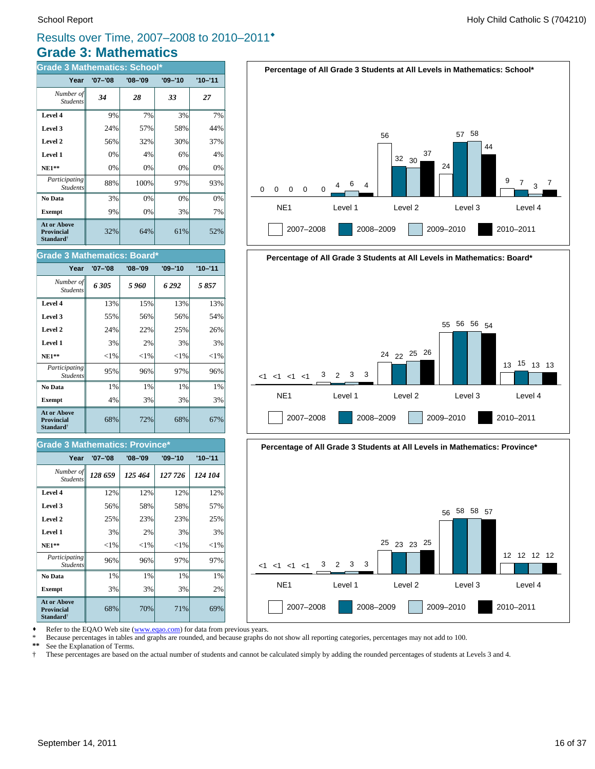# **Grade 3: Mathematics** Results over Time, 2007–2008 to 2010–2011®

| <b>Grade 3 Mathematics: School*</b>                                     |             |             |             |             |
|-------------------------------------------------------------------------|-------------|-------------|-------------|-------------|
| Year                                                                    | $'07 - '08$ | $'08 - '09$ | $'09 - '10$ | $'10 - '11$ |
| Number of<br><b>Students</b>                                            | 34          | 28          | 33          | 27          |
| Level 4                                                                 | 9%          | 7%          | 3%          | 7%          |
| Level 3                                                                 | 24%         | 57%         | 58%         | 44%         |
| Level 2                                                                 | 56%         | 32%         | 30%         | 37%         |
| Level 1                                                                 | 0%          | 4%          | 6%          | 4%          |
| $NE1**$                                                                 | 0%          | 0%          | 0%          | 0%          |
| Participating<br><b>Students</b>                                        | 88%         | 100%        | 97%         | 93%         |
| No Data                                                                 | 3%          | 0%          | 0%          | 0%          |
| <b>Exempt</b>                                                           | 9%          | 0%          | 3%          | 7%          |
| <b>At or Above</b><br><b>Provincial</b><br><b>Standard</b> <sup>†</sup> | 32%         | 64%         | 61%         | 52%         |

| <b>Grade 3 Mathematics: Board*</b>                                      |             |             |             |             |  |
|-------------------------------------------------------------------------|-------------|-------------|-------------|-------------|--|
| Year                                                                    | $'07 - '08$ | $'08 - '09$ | $'09 - '10$ | $'10 - '11$ |  |
| Number of<br><b>Students</b>                                            | 6305        | 5960        | 6 292       | 5857        |  |
| Level 4                                                                 | 13%         | 15%         | 13%         | 13%         |  |
| Level 3                                                                 | 55%         | 56%         | 56%         | 54%         |  |
| Level 2                                                                 | 24%         | 22%         | 25%         | 26%         |  |
| Level 1                                                                 | 3%          | 2%          | 3%          | 3%          |  |
| $NE1**$                                                                 | ${<}1\%$    | ${<}1\%$    | ${<}1%$     | ${<}1\%$    |  |
| Participating<br><b>Students</b>                                        | 95%         | 96%         | 97%         | 96%         |  |
| No Data                                                                 | 1%          | $1\%$       | $1\%$       | 1%          |  |
| <b>Exempt</b>                                                           | 4%          | 3%          | 3%          | 3%          |  |
| <b>At or Above</b><br><b>Provincial</b><br><b>Standard</b> <sup>†</sup> | 68%         | 72%         | 68%         | 67%         |  |

#### **Grade 3 Mathematics: Province\***

| Year                                                             | $'07 - '08$ | $'08 - '09$ | $'09 - '10$ | $'10 - '11$ |
|------------------------------------------------------------------|-------------|-------------|-------------|-------------|
| Number of<br><b>Students</b>                                     | 128 659     | 125 464     | 127 726     | 124 104     |
| Level 4                                                          | 12%         | 12%         | 12%         | 12%         |
| Level 3                                                          | 56%         | 58%         | 58%         | 57%         |
| Level 2                                                          | 25%         | 23%         | 23%         | 25%         |
| Level 1                                                          | 3%          | 2%          | 3%          | 3%          |
| $NE1**$                                                          | ${<}1\%$    | ${<}1\%$    | ${<}1\%$    | ${<}1\%$    |
| <i>Participating</i><br><b>Students</b>                          | 96%         | 96%         | 97%         | 97%         |
| No Data                                                          | 1%          | 1%          | 1%          | 1%          |
| <b>Exempt</b>                                                    | 3%          | 3%          | 3%          | 2%          |
| At or Above<br><b>Provincial</b><br><b>Standard</b> <sup>†</sup> | 68%         | 70%         | 71%         | 69%         |







Refer to the EQAO Web site (www.eqao.com) for data from previous years.

\* Because percentages in tables and graphs are rounded, and because graphs do not show all reporting categories, percentages may not add to 100.<br>\*\* See the Explanation of Terms

\*\* See the Explanation of Terms.<br><sup>†</sup> These percentages are based on

† These percentages are based on the actual number of students and cannot be calculated simply by adding the rounded percentages of students at Levels 3 and 4.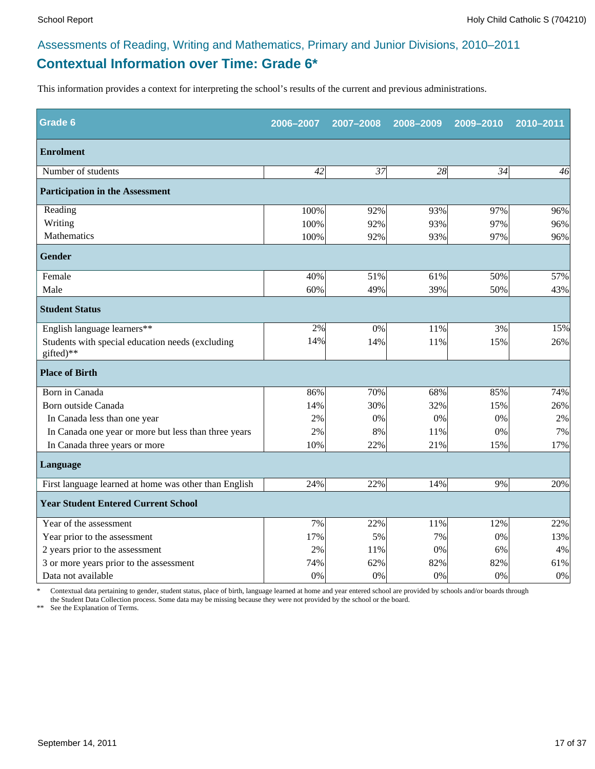# **Contextual Information over Time: Grade 6\*** Assessments of Reading, Writing and Mathematics, Primary and Junior Divisions, 2010–2011

This information provides a context for interpreting the school's results of the current and previous administrations.

| Grade 6                                                       | 2006-2007 | 2007-2008 | 2008-2009 | 2009-2010 | 2010-2011 |
|---------------------------------------------------------------|-----------|-----------|-----------|-----------|-----------|
| <b>Enrolment</b>                                              |           |           |           |           |           |
| Number of students                                            | 42        | 37        | 28        | 34        | 46        |
| <b>Participation in the Assessment</b>                        |           |           |           |           |           |
| Reading                                                       | 100%      | 92%       | 93%       | 97%       | 96%       |
| Writing                                                       | 100%      | 92%       | 93%       | 97%       | 96%       |
| Mathematics                                                   | 100%      | 92%       | 93%       | 97%       | 96%       |
| <b>Gender</b>                                                 |           |           |           |           |           |
| Female                                                        | 40%       | 51%       | 61%       | 50%       | 57%       |
| Male                                                          | 60%       | 49%       | 39%       | 50%       | 43%       |
| <b>Student Status</b>                                         |           |           |           |           |           |
| English language learners**                                   | 2%        | 0%        | 11%       | 3%        | 15%       |
| Students with special education needs (excluding<br>gifted)** | 14%       | 14%       | 11%       | 15%       | 26%       |
| <b>Place of Birth</b>                                         |           |           |           |           |           |
| Born in Canada                                                | 86%       | 70%       | 68%       | 85%       | 74%       |
| Born outside Canada                                           | 14%       | 30%       | 32%       | 15%       | 26%       |
| In Canada less than one year                                  | 2%        | 0%        | 0%        | 0%        | 2%        |
| In Canada one year or more but less than three years          | 2%        | 8%        | 11%       | 0%        | 7%        |
| In Canada three years or more                                 | 10%       | 22%       | 21%       | 15%       | 17%       |
| Language                                                      |           |           |           |           |           |
| First language learned at home was other than English         | 24%       | 22%       | 14%       | 9%        | 20%       |
| <b>Year Student Entered Current School</b>                    |           |           |           |           |           |
| Year of the assessment                                        | $7\%$     | 22%       | 11%       | 12%       | 22%       |
| Year prior to the assessment                                  | 17%       | 5%        | 7%        | 0%        | 13%       |
| 2 years prior to the assessment                               | 2%        | 11%       | 0%        | 6%        | 4%        |
| 3 or more years prior to the assessment                       | 74%       | 62%       | 82%       | 82%       | 61%       |
| Data not available                                            | 0%        | 0%        | 0%        | 0%        | $0\%$     |

\* Contextual data pertaining to gender, student status, place of birth, language learned at home and year entered school are provided by schools and/or boards through the Student Data Collection process. Some data may be missing because they were not provided by the school or the board.

\*\* See the Explanation of Terms.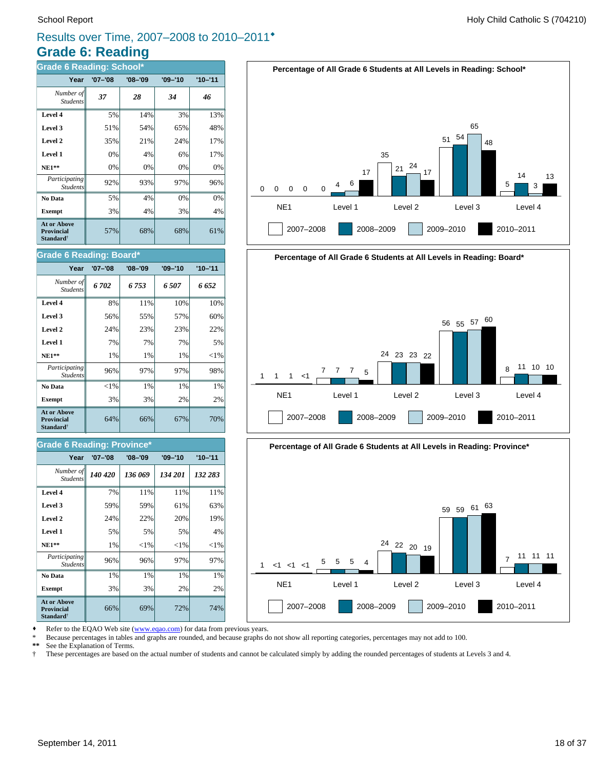# **Grade 6: Reading** Results over Time, 2007–2008 to 2010–2011®

| <b>Grade 6 Reading: School*</b>                                  |             |             |             |             |  |
|------------------------------------------------------------------|-------------|-------------|-------------|-------------|--|
| Year                                                             | $'07 - '08$ | $'08 - '09$ | $'09 - '10$ | $'10 - '11$ |  |
| Number of<br><b>Students</b>                                     | 37          | 28          | 34          | 46          |  |
| Level 4                                                          | 5%          | 14%         | 3%          | 13%         |  |
| Level 3                                                          | 51%         | 54%         | 65%         | 48%         |  |
| Level 2                                                          | 35%         | 21%         | 24%         | 17%         |  |
| Level 1                                                          | 0%          | 4%          | 6%          | 17%         |  |
| $NE1**$                                                          | 0%          | 0%          | 0%          | 0%          |  |
| Participating<br><b>Students</b>                                 | 92%         | 93%         | 97%         | 96%         |  |
| No Data                                                          | 5%          | 4%          | 0%          | 0%          |  |
| <b>Exempt</b>                                                    | 3%          | 4%          | 3%          | 4%          |  |
| At or Above<br><b>Provincial</b><br><b>Standard</b> <sup>†</sup> | 57%         | 68%         | 68%         | 61%         |  |

#### **Grade 6 Reading: Board\***

| Year                                                                    | $'07 - '08$ | $'08 - '09$ | $'09 - '10$ | $'10 - '11$ |
|-------------------------------------------------------------------------|-------------|-------------|-------------|-------------|
| Number of<br><b>Students</b>                                            | 6702        | 6753        | 6507        | 6 652       |
| Level 4                                                                 | 8%          | 11%         | 10%         | 10%         |
| Level 3                                                                 | 56%         | 55%         | 57%         | 60%         |
| Level 2                                                                 | 24%         | 23%         | 23%         | 22%         |
| Level 1                                                                 | 7%          | 7%          | 7%          | 5%          |
| <b>NE1**</b>                                                            | 1%          | 1%          | 1%          | ${<}1\%$    |
| Participating<br><b>Students</b>                                        | 96%         | 97%         | 97%         | 98%         |
| No Data                                                                 | ${<}1\%$    | $1\%$       | $1\%$       | 1%          |
| <b>Exempt</b>                                                           | 3%          | 3%          | 2%          | 2%          |
| <b>At or Above</b><br><b>Provincial</b><br><b>Standard</b> <sup>†</sup> | 64%         | 66%         | 67%         | 70%         |

#### **Grade 6 Reading: Province\***

| Year                                                                    | $'07 - '08$ | $'08 - '09$ | $'09 - '10$ | $'10 - '11$ |
|-------------------------------------------------------------------------|-------------|-------------|-------------|-------------|
| Number of<br><b>Students</b>                                            | 140 420     | 136 069     | 134 201     | 132 283     |
| Level 4                                                                 | 7%          | 11%         | 11%         | 11%         |
| Level 3                                                                 | 59%         | 59%         | 61%         | 63%         |
| Level 2                                                                 | 24%         | 22%         | 20%         | 19%         |
| Level 1                                                                 | 5%          | 5%          | 5%          | 4%          |
| <b>NE1**</b>                                                            | 1%          | ${<}1\%$    | ${<}1\%$    | ${<}1\%$    |
| <i>Participating</i><br><b>Students</b>                                 | 96%         | 96%         | 97%         | 97%         |
| No Data                                                                 | 1%          | 1%          | 1%          | 1%          |
| <b>Exempt</b>                                                           | 3%          | 3%          | 2%          | 2%          |
| <b>At or Above</b><br><b>Provincial</b><br><b>Standard</b> <sup>†</sup> | 66%         | 69%         | 72%         | 74%         |







Refer to the EQAO Web site (www.eqao.com) for data from previous years.

\* Because percentages in tables and graphs are rounded, and because graphs do not show all reporting categories, percentages may not add to 100.

**\*\*** See the Explanation of Terms.

† These percentages are based on the actual number of students and cannot be calculated simply by adding the rounded percentages of students at Levels 3 and 4.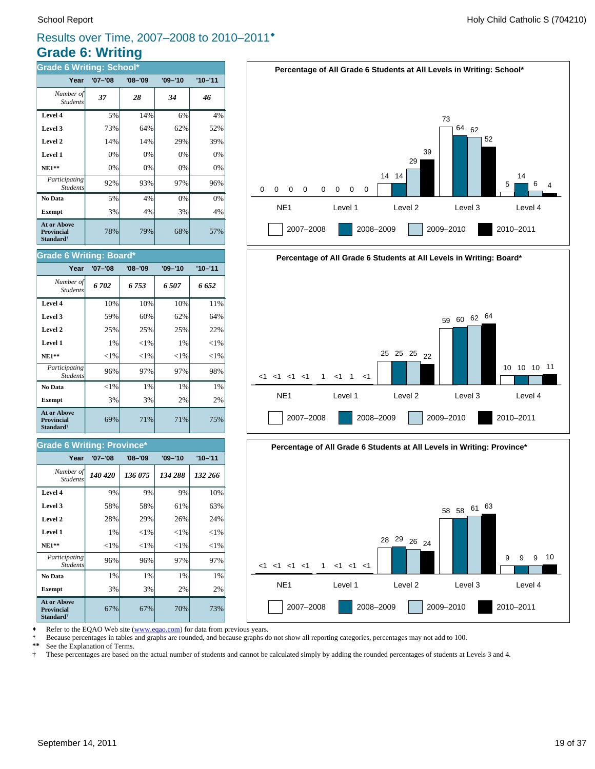# **Grade 6: Writing** Results over Time, 2007–2008 to 2010–2011®

| <b>Grade 6 Writing: School*</b>                                         |             |             |             |             |
|-------------------------------------------------------------------------|-------------|-------------|-------------|-------------|
| Year                                                                    | $'07 - '08$ | $'08 - '09$ | $'09 - '10$ | $'10 - '11$ |
| Number of<br><b>Students</b>                                            | 37          | 28          | 34          | 46          |
| Level 4                                                                 | 5%          | 14%         | 6%          | 4%          |
| Level 3                                                                 | 73%         | 64%         | 62%         | 52%         |
| Level 2                                                                 | 14%         | 14%         | 29%         | 39%         |
| Level 1                                                                 | 0%          | 0%          | 0%          | 0%          |
| $NE1**$                                                                 | 0%          | 0%          | 0%          | 0%          |
| Participating<br><b>Students</b>                                        | 92%         | 93%         | 97%         | 96%         |
| No Data                                                                 | 5%          | 4%          | 0%          | 0%          |
| <b>Exempt</b>                                                           | 3%          | 4%          | 3%          | 4%          |
| <b>At or Above</b><br><b>Provincial</b><br><b>Standard</b> <sup>†</sup> | 78%         | 79%         | 68%         | 57%         |

#### **Grade 6 Writing: Board\***

| Year                                                                    | $'07 - '08$ | $'08 - '09$ | $'09 - '10$ | $'10 - '11$ |
|-------------------------------------------------------------------------|-------------|-------------|-------------|-------------|
| Number of<br><b>Students</b>                                            | 6702        | 6 753       | 6 507       | 6 652       |
| Level 4                                                                 | 10%         | 10%         | 10%         | 11%         |
| Level 3                                                                 | 59%         | 60%         | 62%         | 64%         |
| Level 2                                                                 | 25%         | 25%         | 25%         | 22%         |
| Level 1                                                                 | 1%          | ${<}1\%$    | 1%          | $<$ 1%      |
| $NE1**$                                                                 | ${<}1\%$    | ${<}1\%$    | ${<}1\%$    | ${<}1\%$    |
| Participating<br><b>Students</b>                                        | 96%         | 97%         | 97%         | 98%         |
| No Data                                                                 | ${<}1\%$    | 1%          | 1%          | 1%          |
| <b>Exempt</b>                                                           | 3%          | 3%          | 2%          | 2%          |
| <b>At or Above</b><br><b>Provincial</b><br><b>Standard</b> <sup>†</sup> | 69%         | 71%         | 71%         | 75%         |

#### **Grade 6 Writing: Province\***

| Year                                                                    | $'07 - '08$ | $'08 - '09$ | $'09 - '10$ | $'10 - '11$ |  |
|-------------------------------------------------------------------------|-------------|-------------|-------------|-------------|--|
| Number of   <br><b>Students</b>                                         | 140 420     | 136 075     | 134 288     | 132 266     |  |
| Level 4                                                                 | 9%          | 9%          | 9%          | 10%         |  |
| Level 3                                                                 | 58%         | 58%         | 61%         | 63%         |  |
| Level 2                                                                 | 28%         | 29%         | 26%         | 24%         |  |
| Level 1                                                                 | $1\%$       | ${<}1\%$    | ${<}1\%$    | ${<}1\%$    |  |
| $NE1**$                                                                 | ${<}1\%$    | ${<}1\%$    | ${<}1\%$    | ${<}1\%$    |  |
| Participating<br><b>Students</b>                                        | 96%         | 96%         | 97%         | 97%         |  |
| No Data                                                                 | 1%          | 1%          | 1%          | 1%          |  |
| <b>Exempt</b>                                                           | 3%          | 3%          | 2%          | 2%          |  |
| <b>At or Above</b><br><b>Provincial</b><br><b>Standard</b> <sup>†</sup> | 67%         | 67%         | 70%         | 73%         |  |







Refer to the EQAO Web site (www.eqao.com) for data from previous years.

\* Because percentages in tables and graphs are rounded, and because graphs do not show all reporting categories, percentages may not add to 100.<br>\*\* See the Explanation of Terms

\*\* See the Explanation of Terms.<br><sup>†</sup> These percentages are based on

† These percentages are based on the actual number of students and cannot be calculated simply by adding the rounded percentages of students at Levels 3 and 4.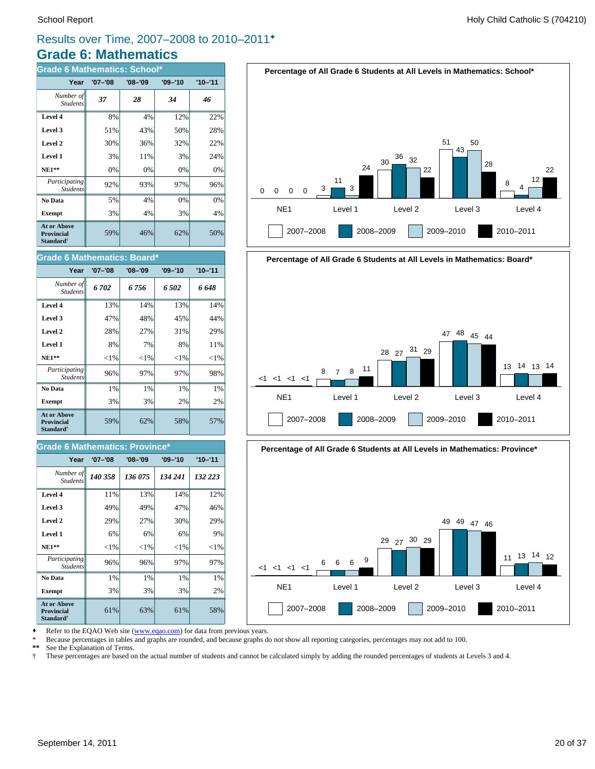# **Grade 6: Mathematics** Results over Time, 2007–2008 to 2010–2011®

| <b>Grade 6 Mathematics: School*</b>                              |             |             |             |             |  |
|------------------------------------------------------------------|-------------|-------------|-------------|-------------|--|
| Year                                                             | $'07 - '08$ | $'08 - '09$ | $'09 - '10$ | $'10 - '11$ |  |
| Number of<br><b>Students</b>                                     | 37          | 28          | 34          | 46          |  |
| Level 4                                                          | 8%          | 4%          | 12%         | 22%         |  |
| Level 3                                                          | 51%         | 43%         | 50%         | 28%         |  |
| Level 2                                                          | 30%         | 36%         | 32%         | 22%         |  |
| Level 1                                                          | 3%          | 11%         | 3%          | 24%         |  |
| $NE1**$                                                          | 0%          | 0%          | 0%          | 0%          |  |
| Participating<br><b>Students</b>                                 | 92%         | 93%         | 97%         | 96%         |  |
| No Data                                                          | 5%          | 4%          | 0%          | 0%          |  |
| <b>Exempt</b>                                                    | 3%          | 4%          | 3%          | 4%          |  |
| At or Above<br><b>Provincial</b><br><b>Standard</b> <sup>†</sup> | 59%         | 46%         | 62%         | 50%         |  |







Refer to the EQAO Web site (www.eqao.com) for data from previous years.

\* Because percentages in tables and graphs are rounded, and because graphs do not show all reporting categories, percentages may not add to 100.

**\*\*** See the Explanation of Terms.

† These percentages are based on the actual number of students and cannot be calculated simply by adding the rounded percentages of students at Levels 3 and 4.

# **Year '07–'08 '08–'09 '09–'10 '10–'11**

**Grade 6 Mathematics: Board\***

| Number of   <br><b>Students</b>                                         | 6 702    | 6756     | 6502     | 6 648    |
|-------------------------------------------------------------------------|----------|----------|----------|----------|
| Level 4                                                                 | 13%      | 14%      | 13%      | 14%      |
| Level 3                                                                 | 47%      | 48%      | 45%      | 44%      |
| Level 2                                                                 | 28%      | 27%      | 31%      | 29%      |
| Level 1                                                                 | 8%       | 7%       | 8%       | 11%      |
| $NE1**$                                                                 | ${<}1\%$ | ${<}1\%$ | ${<}1\%$ | ${<}1\%$ |
| Participating<br><b>Students</b>                                        | 96%      | 97%      | 97%      | 98%      |
| No Data                                                                 | 1%       | 1%       | 1%       | 1%       |
| <b>Exempt</b>                                                           | 3%       | 3%       | 2%       | 2%       |
| <b>At or Above</b><br><b>Provincial</b><br><b>Standard</b> <sup>†</sup> | 59%      | 62%      | 58%      | 57%      |

#### **Grade 6 Mathematics: Province\***

| Year                                                                    | $'07 - '08$ | $'08 - '09$ | $'09 - '10$ | $'10 - '11$ |
|-------------------------------------------------------------------------|-------------|-------------|-------------|-------------|
| Number of<br><b>Students</b>                                            | 140 358     | 136 075     | 134 241     | 132 223     |
| Level 4                                                                 | 11%         | 13%         | 14%         | 12%         |
| Level 3                                                                 | 49%         | 49%         | 47%         | 46%         |
| Level 2                                                                 | 29%         | 27%         | 30%         | 29%         |
| Level 1                                                                 | 6%          | 6%          | 6%          | 9%          |
| $NE1**$                                                                 | ${<}1\%$    | ${<}1\%$    | ${<}1\%$    | ${<}1\%$    |
| <i>Participating</i><br><b>Students</b>                                 | 96%         | 96%         | 97%         | 97%         |
| No Data                                                                 | 1%          | 1%          | 1%          | 1%          |
| <b>Exempt</b>                                                           | 3%          | 3%          | 3%          | 2%          |
| <b>At or Above</b><br><b>Provincial</b><br><b>Standard</b> <sup>†</sup> | 61%         | 63%         | 61%         | 58%         |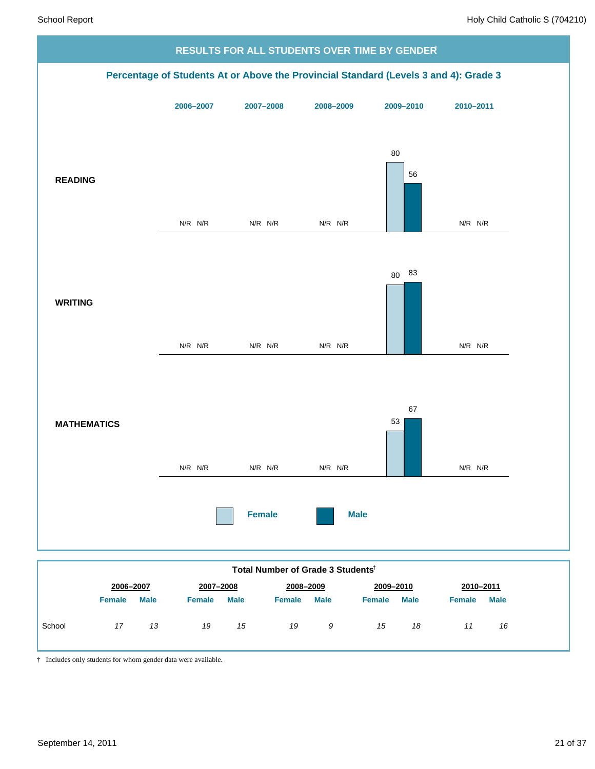

|        | 2006-2007     |             | 2007-2008     |             | 2008-2009     |             | 2009-2010     |             | 2010-2011     |             |
|--------|---------------|-------------|---------------|-------------|---------------|-------------|---------------|-------------|---------------|-------------|
|        | <b>Female</b> | <b>Male</b> | <b>Female</b> | <b>Male</b> | <b>Female</b> | <b>Male</b> | <b>Female</b> | <b>Male</b> | <b>Female</b> | <b>Male</b> |
| School | 17            | 13          | 19            | 15          | 19            | 9           | 15            | 18          | 11            | 16          |

† Includes only students for whom gender data were available.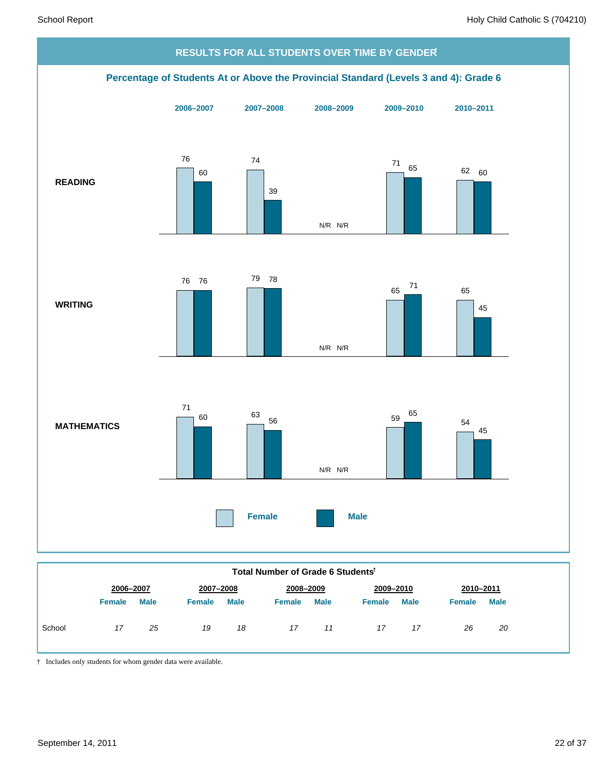

|        | 2006-2007     |             | 2007-2008     |             |               | 2008-2009   |               | 2009-2010   |               | 2010-2011   |  |
|--------|---------------|-------------|---------------|-------------|---------------|-------------|---------------|-------------|---------------|-------------|--|
|        | <b>Female</b> | <b>Male</b> | <b>Female</b> | <b>Male</b> | <b>Female</b> | <b>Male</b> | <b>Female</b> | <b>Male</b> | <b>Female</b> | <b>Male</b> |  |
| School | 17            | 25          | 19            | 18          | 17            | 11          | 17            | 17          | 26            | 20          |  |

† Includes only students for whom gender data were available.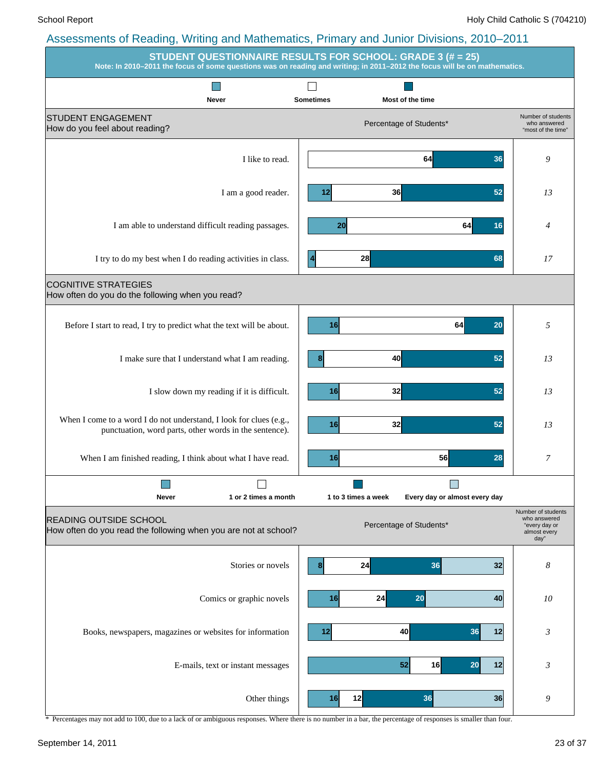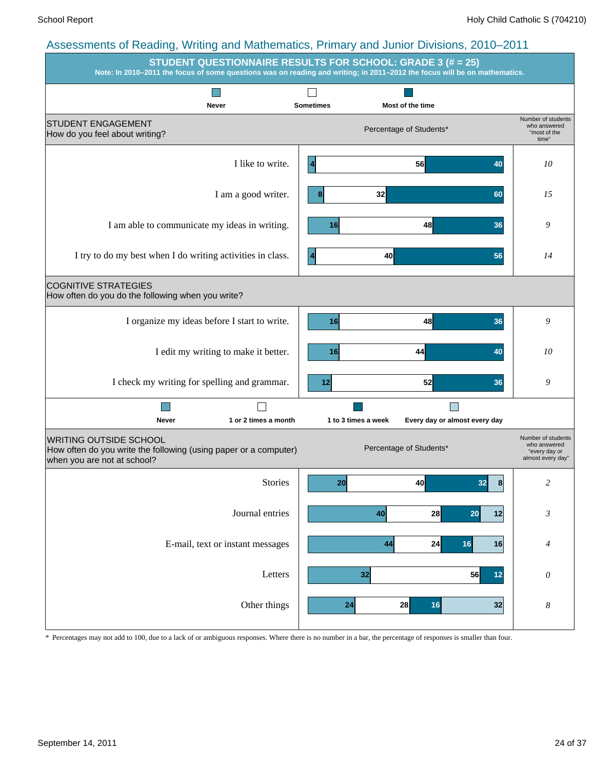| . <u>.</u>                                                                                                                       | -- 1<br><b>STUDENT QUESTIONNAIRE RESULTS FOR SCHOOL: GRADE 3 (# = 25)</b><br>Note: In 2010-2011 the focus of some questions was on reading and writing; in 2011-2012 the focus will be on mathematics. |                                                                          |
|----------------------------------------------------------------------------------------------------------------------------------|--------------------------------------------------------------------------------------------------------------------------------------------------------------------------------------------------------|--------------------------------------------------------------------------|
| Never                                                                                                                            | <b>Sometimes</b><br>Most of the time                                                                                                                                                                   |                                                                          |
| <b>STUDENT ENGAGEMENT</b><br>How do you feel about writing?                                                                      | Percentage of Students*                                                                                                                                                                                | Number of students<br>who answered<br>"most of the<br>time"              |
| I like to write.                                                                                                                 | 56<br>40                                                                                                                                                                                               | 10                                                                       |
| I am a good writer.                                                                                                              | 32<br>60<br>8                                                                                                                                                                                          | 15                                                                       |
| I am able to communicate my ideas in writing.                                                                                    | 48<br>16<br>36                                                                                                                                                                                         | 9                                                                        |
| I try to do my best when I do writing activities in class.                                                                       | 40<br>56                                                                                                                                                                                               | 14                                                                       |
| <b>COGNITIVE STRATEGIES</b><br>How often do you do the following when you write?                                                 |                                                                                                                                                                                                        |                                                                          |
| I organize my ideas before I start to write.                                                                                     | 16<br>48<br>36                                                                                                                                                                                         | 9                                                                        |
| I edit my writing to make it better.                                                                                             | 44<br>16<br>40                                                                                                                                                                                         | 10                                                                       |
| I check my writing for spelling and grammar.                                                                                     | 52<br>12<br>36                                                                                                                                                                                         | 9                                                                        |
| Never<br>1 or 2 times a month                                                                                                    | 1 to 3 times a week<br>Every day or almost every day                                                                                                                                                   |                                                                          |
| <b>WRITING OUTSIDE SCHOOL</b><br>How often do you write the following (using paper or a computer)<br>when you are not at school? | Percentage of Students*                                                                                                                                                                                | Number of students<br>who answered<br>"every day or<br>almost every day" |
| <b>Stories</b>                                                                                                                   | 40<br>8<br><b>20</b><br>32                                                                                                                                                                             | 2                                                                        |
| Journal entries                                                                                                                  | 40<br>28<br>20<br>12                                                                                                                                                                                   | $\mathfrak{Z}$                                                           |
| E-mail, text or instant messages                                                                                                 | 24<br>44<br>16<br>16                                                                                                                                                                                   | 4                                                                        |
| Letters                                                                                                                          | 32<br>56<br>12                                                                                                                                                                                         | 0                                                                        |
| Other things                                                                                                                     | 32<br>28<br>16<br>24                                                                                                                                                                                   | $\boldsymbol{8}$                                                         |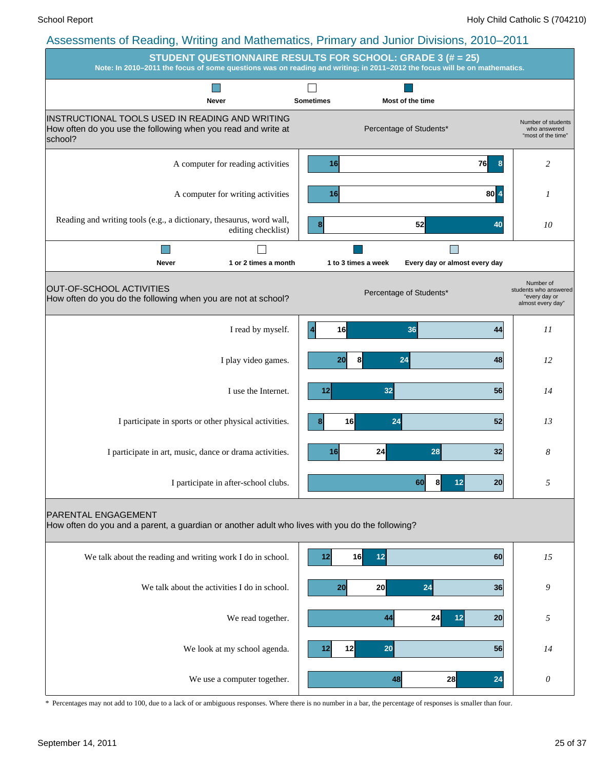|                                                                                                                               | STUDENT QUESTIONNAIRE RESULTS FOR SCHOOL: GRADE 3 (# = 25)<br>Note: In 2010-2011 the focus of some questions was on reading and writing; in 2011-2012 the focus will be on mathematics. |                                                                          |
|-------------------------------------------------------------------------------------------------------------------------------|-----------------------------------------------------------------------------------------------------------------------------------------------------------------------------------------|--------------------------------------------------------------------------|
| Never                                                                                                                         | <b>Sometimes</b><br>Most of the time                                                                                                                                                    |                                                                          |
| INSTRUCTIONAL TOOLS USED IN READING AND WRITING<br>How often do you use the following when you read and write at<br>school?   | Percentage of Students*                                                                                                                                                                 | Number of students<br>who answered<br>"most of the time"                 |
| A computer for reading activities                                                                                             | 16<br><b>76</b><br>8 <sup>2</sup>                                                                                                                                                       | 2                                                                        |
| A computer for writing activities                                                                                             | $80\vert 4$<br>16                                                                                                                                                                       | 1                                                                        |
| Reading and writing tools (e.g., a dictionary, thesaurus, word wall,<br>editing checklist)                                    | 52<br>40                                                                                                                                                                                | 10                                                                       |
|                                                                                                                               |                                                                                                                                                                                         |                                                                          |
| Never<br>1 or 2 times a month                                                                                                 | 1 to 3 times a week<br>Every day or almost every day                                                                                                                                    |                                                                          |
| OUT-OF-SCHOOL ACTIVITIES<br>How often do you do the following when you are not at school?                                     | Percentage of Students*                                                                                                                                                                 | Number of<br>students who answered<br>"every day or<br>almost every day" |
| I read by myself.                                                                                                             | $\overline{4}$<br>16<br>36<br>44                                                                                                                                                        | II                                                                       |
| I play video games.                                                                                                           | 8<br>24<br>20<br>48                                                                                                                                                                     | 12                                                                       |
| I use the Internet.                                                                                                           | 32<br>56<br>12                                                                                                                                                                          | 14                                                                       |
| I participate in sports or other physical activities.                                                                         | 16<br>24<br>52                                                                                                                                                                          | 13                                                                       |
| I participate in art, music, dance or drama activities.                                                                       | 16<br>24<br>28<br>32                                                                                                                                                                    | 8                                                                        |
| I participate in after-school clubs.                                                                                          | 20<br>σU<br>ŏI<br>12                                                                                                                                                                    | Ć                                                                        |
| <b>PARENTAL ENGAGEMENT</b><br>How often do you and a parent, a guardian or another adult who lives with you do the following? |                                                                                                                                                                                         |                                                                          |
| We talk about the reading and writing work I do in school.                                                                    | 16<br>12<br>12<br>60                                                                                                                                                                    | 15                                                                       |
| We talk about the activities I do in school.                                                                                  | 20<br>24<br>36<br>20                                                                                                                                                                    | 9                                                                        |
| We read together.                                                                                                             | 44<br>12<br>24<br>20                                                                                                                                                                    | 5                                                                        |
| We look at my school agenda.                                                                                                  | 20<br>12<br>56<br>12                                                                                                                                                                    | 14                                                                       |
| We use a computer together.                                                                                                   | 24<br>48<br>28                                                                                                                                                                          | 0                                                                        |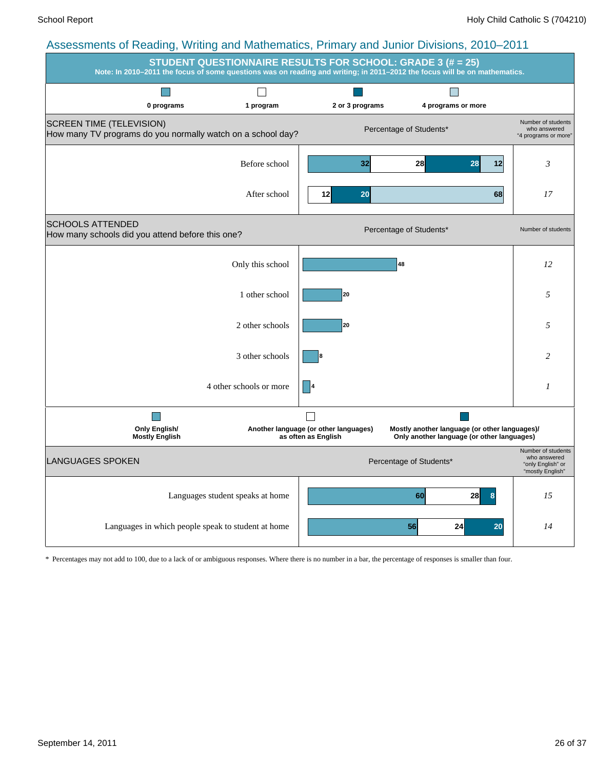| ອາ<br>$\ldots$                                                                                 |                                  | $\cdots$                                                     | <b>STUDENT QUESTIONNAIRE RESULTS FOR SCHOOL: GRADE 3 (# = 25)</b><br>Note: In 2010-2011 the focus of some questions was on reading and writing; in 2011-2012 the focus will be on mathematics. |                                                                             |
|------------------------------------------------------------------------------------------------|----------------------------------|--------------------------------------------------------------|------------------------------------------------------------------------------------------------------------------------------------------------------------------------------------------------|-----------------------------------------------------------------------------|
| 0 programs                                                                                     | 1 program                        | 2 or 3 programs                                              | 4 programs or more                                                                                                                                                                             |                                                                             |
| <b>SCREEN TIME (TELEVISION)</b><br>How many TV programs do you normally watch on a school day? |                                  |                                                              | Percentage of Students*                                                                                                                                                                        | Number of students<br>who answered<br>"4 programs or more"                  |
|                                                                                                | Before school                    | 32                                                           | 28<br>28<br> 12                                                                                                                                                                                | 3                                                                           |
|                                                                                                | After school                     | 20<br>12                                                     | 68                                                                                                                                                                                             | 17                                                                          |
| <b>SCHOOLS ATTENDED</b><br>How many schools did you attend before this one?                    |                                  |                                                              | Percentage of Students*                                                                                                                                                                        | Number of students                                                          |
|                                                                                                | Only this school                 |                                                              | 48                                                                                                                                                                                             | 12                                                                          |
|                                                                                                | 1 other school                   | 20                                                           |                                                                                                                                                                                                | 5                                                                           |
|                                                                                                | 2 other schools                  | 20                                                           |                                                                                                                                                                                                | 5                                                                           |
|                                                                                                | 3 other schools                  |                                                              |                                                                                                                                                                                                | 2                                                                           |
|                                                                                                | 4 other schools or more          |                                                              |                                                                                                                                                                                                | 1                                                                           |
| <b>Only English/</b><br><b>Mostly English</b>                                                  |                                  | Another language (or other languages)<br>as often as English | Mostly another language (or other languages)/<br>Only another language (or other languages)                                                                                                    |                                                                             |
| LANGUAGES SPOKEN                                                                               |                                  |                                                              | Percentage of Students*                                                                                                                                                                        | Number of students<br>who answered<br>"only English" or<br>"mostly English" |
|                                                                                                | Languages student speaks at home |                                                              | 60<br>28                                                                                                                                                                                       | 15                                                                          |
| Languages in which people speak to student at home                                             |                                  |                                                              | 56<br>20<br>24                                                                                                                                                                                 | 14                                                                          |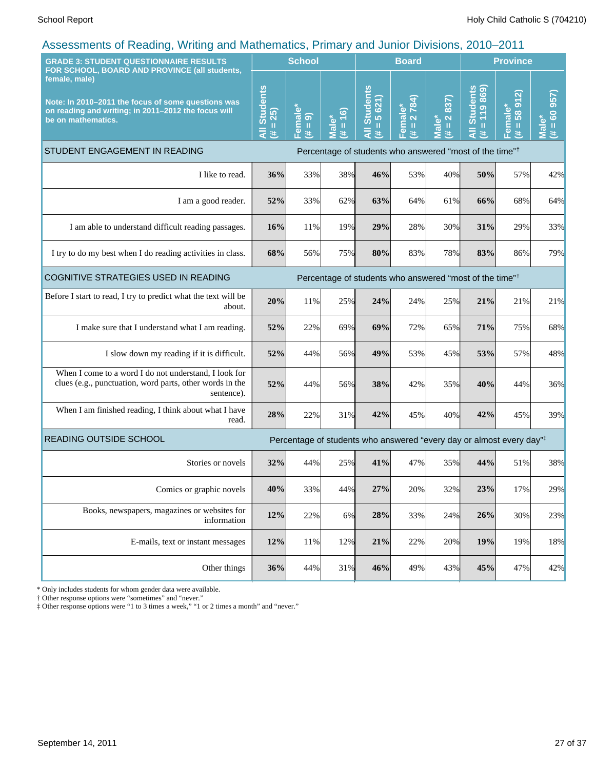| . ت<br><b>GRADE 3: STUDENT QUESTIONNAIRE RESULTS</b><br>FOR SCHOOL, BOARD AND PROVINCE (all students,                                            |                                                                                                                                                                                                                                                                                         | <b>School</b>                   |                                            | <b>Board</b>                                                                     |                                         |                                                                     | <b>Province</b>                                                                                                                                                                                          |                                 |                                      |
|--------------------------------------------------------------------------------------------------------------------------------------------------|-----------------------------------------------------------------------------------------------------------------------------------------------------------------------------------------------------------------------------------------------------------------------------------------|---------------------------------|--------------------------------------------|----------------------------------------------------------------------------------|-----------------------------------------|---------------------------------------------------------------------|----------------------------------------------------------------------------------------------------------------------------------------------------------------------------------------------------------|---------------------------------|--------------------------------------|
| female, male)<br>Note: In 2010-2011 the focus of some questions was<br>on reading and writing; in 2011-2012 the focus will<br>be on mathematics. | <b>Students</b><br>25)<br>$\mathbf{H}% =\mathbf{H}^{T}\mathbf{v}^{T}\mathbf{v}^{T}\mathbf{v}^{T}+\mathbf{H}^{T}\mathbf{v}^{T}\mathbf{v}^{T}+\mathbf{H}^{T}\mathbf{v}^{T}\mathbf{v}^{T}+\mathbf{H}^{T}\mathbf{v}^{T}\mathbf{v}^{T}+\mathbf{H}^{T}\mathbf{v}^{T}\mathbf{v}^{T}$<br>Ę<br>共 | emale<br>ெ<br>$\,$ II<br>进<br>ш | $\widehat{=}$<br>Male*<br>$\mathbf u$<br>共 | <b>Students</b><br>5 621)<br>Ш<br>共                                              | 2 784)<br>$emale*$<br>$\mathbf{u}$<br>共 | 837)<br>$\mathbf{\Omega}$<br>Male <sup>*</sup><br>$\rm H$<br>$\ast$ | <b>All Students</b><br>119869<br>$\mathbf{H}% =\mathbf{H}^{T}\mathbf{v}^{T}\mathbf{v}^{T}\mathbf{v}^{T}+\mathbf{H}^{T}\mathbf{v}^{T}\mathbf{v}^{T}+\mathbf{H}^{T}\mathbf{v}^{T}\mathbf{v}^{T}$<br>$\ast$ | 912)<br>Female*<br>58<br>H<br>违 | 957<br>$= 60$<br>$\bullet$<br>Š<br>艺 |
| STUDENT ENGAGEMENT IN READING                                                                                                                    |                                                                                                                                                                                                                                                                                         |                                 |                                            | Percentage of students who answered "most of the time" <sup>†</sup>              |                                         |                                                                     |                                                                                                                                                                                                          |                                 |                                      |
| I like to read.                                                                                                                                  | 36%                                                                                                                                                                                                                                                                                     | 33%                             | 38%                                        | 46%                                                                              | 53%                                     | 40%                                                                 | 50%                                                                                                                                                                                                      | 57%                             | 42%                                  |
| I am a good reader.                                                                                                                              | 52%                                                                                                                                                                                                                                                                                     | 33%                             | 62%                                        | 63%                                                                              | 64%                                     | 61%                                                                 | 66%                                                                                                                                                                                                      | 68%                             | 64%                                  |
| I am able to understand difficult reading passages.                                                                                              | 16%                                                                                                                                                                                                                                                                                     | 11%                             | 19%                                        | 29%                                                                              | 28%                                     | 30%                                                                 | 31%                                                                                                                                                                                                      | 29%                             | 33%                                  |
| I try to do my best when I do reading activities in class.                                                                                       | 68%                                                                                                                                                                                                                                                                                     | 56%                             | 75%                                        | 80%                                                                              | 83%                                     | 78%                                                                 | 83%                                                                                                                                                                                                      | 86%                             | 79%                                  |
| COGNITIVE STRATEGIES USED IN READING                                                                                                             |                                                                                                                                                                                                                                                                                         |                                 |                                            | Percentage of students who answered "most of the time" <sup>†</sup>              |                                         |                                                                     |                                                                                                                                                                                                          |                                 |                                      |
| Before I start to read, I try to predict what the text will be<br>about.                                                                         | 20%                                                                                                                                                                                                                                                                                     | 11%                             | 25%                                        | 24%                                                                              | 24%                                     | 25%                                                                 | 21%                                                                                                                                                                                                      | 21%                             | 21%                                  |
| I make sure that I understand what I am reading.                                                                                                 | 52%                                                                                                                                                                                                                                                                                     | 22%                             | 69%                                        | 69%                                                                              | 72%                                     | 65%                                                                 | 71%                                                                                                                                                                                                      | 75%                             | 68%                                  |
| I slow down my reading if it is difficult.                                                                                                       | 52%                                                                                                                                                                                                                                                                                     | 44%                             | 56%                                        | 49%                                                                              | 53%                                     | 45%                                                                 | 53%                                                                                                                                                                                                      | 57%                             | 48%                                  |
| When I come to a word I do not understand, I look for<br>clues (e.g., punctuation, word parts, other words in the<br>sentence).                  | 52%                                                                                                                                                                                                                                                                                     | 44%                             | 56%                                        | 38%                                                                              | 42%                                     | 35%                                                                 | 40%                                                                                                                                                                                                      | 44%                             | 36%                                  |
| When I am finished reading, I think about what I have<br>read.                                                                                   | 28%                                                                                                                                                                                                                                                                                     | 22%                             | 31%                                        | 42%                                                                              | 45%                                     | 40%                                                                 | 42%                                                                                                                                                                                                      | 45%                             | 39%                                  |
| <b>READING OUTSIDE SCHOOL</b>                                                                                                                    |                                                                                                                                                                                                                                                                                         |                                 |                                            | Percentage of students who answered "every day or almost every day" <sup>‡</sup> |                                         |                                                                     |                                                                                                                                                                                                          |                                 |                                      |
| Stories or novels                                                                                                                                | 32%                                                                                                                                                                                                                                                                                     | 44%                             | 25%                                        | 41%                                                                              | 47%                                     | 35%                                                                 | 44%                                                                                                                                                                                                      | 51%                             | 38%                                  |
| Comics or graphic novels                                                                                                                         | 40%                                                                                                                                                                                                                                                                                     | 33%                             | 44%                                        | 27%                                                                              | 20%                                     | 32%                                                                 | 23%                                                                                                                                                                                                      | 17%                             | 29%                                  |
| Books, newspapers, magazines or websites for<br>information                                                                                      | 12%                                                                                                                                                                                                                                                                                     | 22%                             | $6\%$                                      | 28%                                                                              | 33%                                     | 24%                                                                 | 26%                                                                                                                                                                                                      | 30%                             | 23%                                  |
| E-mails, text or instant messages                                                                                                                | 12%                                                                                                                                                                                                                                                                                     | 11%                             | 12%                                        | 21%                                                                              | 22%                                     | 20%                                                                 | 19%                                                                                                                                                                                                      | 19%                             | 18%                                  |
| Other things                                                                                                                                     | 36%                                                                                                                                                                                                                                                                                     | 44%                             | 31%                                        | 46%                                                                              | 49%                                     | 43%                                                                 | 45%                                                                                                                                                                                                      | 47%                             | 42%                                  |

\* Only includes students for whom gender data were available.

† Other response options were "sometimes" and "never."

‡ Other response options were "1 to 3 times a week," "1 or 2 times a month" and "never."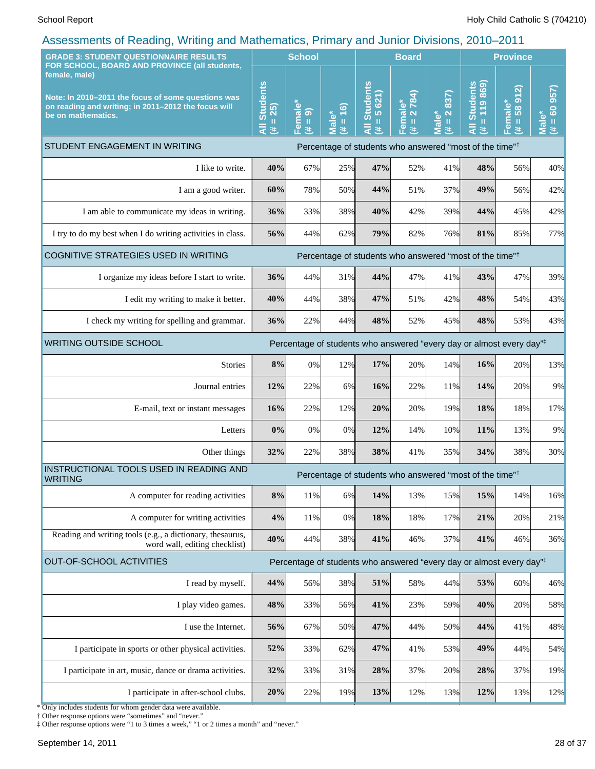| roocoomonio or riodamg; rrming and mathomatico; r minary and cantor Britishio; Loro<br><b>GRADE 3: STUDENT QUESTIONNAIRE RESULTS</b>                                                              |                                                                                                                                                                                                   | <b>School</b>      |                                                   | <b>Board</b>                                             |                                        |                                                           | <b>Province</b>                                                                  |                                                       |                                                          |
|---------------------------------------------------------------------------------------------------------------------------------------------------------------------------------------------------|---------------------------------------------------------------------------------------------------------------------------------------------------------------------------------------------------|--------------------|---------------------------------------------------|----------------------------------------------------------|----------------------------------------|-----------------------------------------------------------|----------------------------------------------------------------------------------|-------------------------------------------------------|----------------------------------------------------------|
| FOR SCHOOL, BOARD AND PROVINCE (all students,<br>female, male)<br>Note: In 2010-2011 the focus of some questions was<br>on reading and writing; in 2011-2012 the focus will<br>be on mathematics. | <b>Students</b><br>25)<br>$\mathbf{H}% =\mathbf{H}^{T}\mathbf{v}^{T}\mathbf{v}^{T}\mathbf{v}^{T}+\mathbf{H}^{T}\mathbf{v}^{T}\mathbf{v}^{T}+\mathbf{H}^{T}\mathbf{v}^{T}\mathbf{v}^{T}$<br>Ę<br>共 | Female*<br>(# = 9) | (6)<br>lale <sup>*</sup><br>$\mathbf u$<br>进<br>5 | <b>Students</b><br>5 621)<br>$\mathbf{H}$<br>—<br>₹<br>巷 | 2784)<br>Female*<br>$\mathbf{II}$<br>巷 | 837)<br>$\overline{\mathbf{N}}$<br>ale*<br>$\rm{II}$<br>共 | <b>Students</b><br>119869<br>$\mathbf{u}$<br>Ę<br>共                              | <u>ର</u><br>$\overline{5}$<br>Female*<br>58<br>Ш<br>巷 | 957)<br>$\frac{1}{100}$<br>$\bar{\bar{\mathbf{v}}}$<br>进 |
| STUDENT ENGAGEMENT IN WRITING                                                                                                                                                                     |                                                                                                                                                                                                   |                    |                                                   |                                                          |                                        |                                                           | Percentage of students who answered "most of the time" <sup>†</sup>              |                                                       |                                                          |
| I like to write.                                                                                                                                                                                  | 40%                                                                                                                                                                                               | 67%                | 25%                                               | 47%                                                      | 52%                                    | 41%                                                       | 48%                                                                              | 56%                                                   | 40%                                                      |
| I am a good writer.                                                                                                                                                                               | 60%                                                                                                                                                                                               | 78%                | 50%                                               | 44%                                                      | 51%                                    | 37%                                                       | 49%                                                                              | 56%                                                   | 42%                                                      |
| I am able to communicate my ideas in writing.                                                                                                                                                     | 36%                                                                                                                                                                                               | 33%                | 38%                                               | 40%                                                      | 42%                                    | 39%                                                       | 44%                                                                              | 45%                                                   | 42%                                                      |
| I try to do my best when I do writing activities in class.                                                                                                                                        | 56%                                                                                                                                                                                               | 44%                | 62%                                               | 79%                                                      | 82%                                    | 76%                                                       | 81%                                                                              | 85%                                                   | 77%                                                      |
| COGNITIVE STRATEGIES USED IN WRITING                                                                                                                                                              |                                                                                                                                                                                                   |                    |                                                   |                                                          |                                        |                                                           | Percentage of students who answered "most of the time" <sup>†</sup>              |                                                       |                                                          |
| I organize my ideas before I start to write.                                                                                                                                                      | 36%                                                                                                                                                                                               | 44%                | 31%                                               | 44%                                                      | 47%                                    | 41%                                                       | 43%                                                                              | 47%                                                   | 39%                                                      |
| I edit my writing to make it better.                                                                                                                                                              | 40%                                                                                                                                                                                               | 44%                | 38%                                               | 47%                                                      | 51%                                    | 42%                                                       | 48%                                                                              | 54%                                                   | 43%                                                      |
| I check my writing for spelling and grammar.                                                                                                                                                      | 36%                                                                                                                                                                                               | 22%                | 44%                                               | 48%                                                      | 52%                                    | 45%                                                       | 48%                                                                              | 53%                                                   | 43%                                                      |
| <b>WRITING OUTSIDE SCHOOL</b>                                                                                                                                                                     | Percentage of students who answered "every day or almost every day"#                                                                                                                              |                    |                                                   |                                                          |                                        |                                                           |                                                                                  |                                                       |                                                          |
| <b>Stories</b>                                                                                                                                                                                    | 8%                                                                                                                                                                                                | 0%                 | 12%                                               | 17%                                                      | 20%                                    | 14%                                                       | 16%                                                                              | 20%                                                   | 13%                                                      |
| Journal entries                                                                                                                                                                                   | 12%                                                                                                                                                                                               | 22%                | 6%                                                | 16%                                                      | 22%                                    | 11%                                                       | 14%                                                                              | 20%                                                   | 9%                                                       |
| E-mail, text or instant messages                                                                                                                                                                  | 16%                                                                                                                                                                                               | 22%                | 12%                                               | 20%                                                      | 20%                                    | 19%                                                       | 18%                                                                              | 18%                                                   | 17%                                                      |
| Letters                                                                                                                                                                                           | 0%                                                                                                                                                                                                | 0%                 | 0%                                                | 12%                                                      | 14%                                    | 10%                                                       | 11%                                                                              | 13%                                                   | 9%                                                       |
| Other things                                                                                                                                                                                      | 32%                                                                                                                                                                                               | 22%                | 38%                                               | 38%                                                      | 41%                                    | 35%                                                       | 34%                                                                              | 38%                                                   | 30%                                                      |
| INSTRUCTIONAL TOOLS USED IN READING AND<br><b>WRITING</b>                                                                                                                                         |                                                                                                                                                                                                   |                    |                                                   |                                                          |                                        |                                                           | Percentage of students who answered "most of the time" <sup>†</sup>              |                                                       |                                                          |
| A computer for reading activities                                                                                                                                                                 | $8\%$                                                                                                                                                                                             | 11%                | 6%                                                | 14%                                                      | 13%                                    | 15%                                                       | 15%                                                                              | 14%                                                   | 16%                                                      |
| A computer for writing activities                                                                                                                                                                 | 4%                                                                                                                                                                                                | 11%                | 0%                                                | 18%                                                      | 18%                                    | 17%                                                       | 21%                                                                              | 20%                                                   | 21%                                                      |
| Reading and writing tools (e.g., a dictionary, thesaurus,<br>word wall, editing checklist)                                                                                                        | 40%                                                                                                                                                                                               | 44%                | 38%                                               | 41%                                                      | 46%                                    | 37%                                                       | 41%                                                                              | 46%                                                   | 36%                                                      |
| <b>OUT-OF-SCHOOL ACTIVITIES</b>                                                                                                                                                                   |                                                                                                                                                                                                   |                    |                                                   |                                                          |                                        |                                                           | Percentage of students who answered "every day or almost every day" <sup>‡</sup> |                                                       |                                                          |
| I read by myself.                                                                                                                                                                                 | 44%                                                                                                                                                                                               | 56%                | 38%                                               | 51%                                                      | 58%                                    | 44%                                                       | 53%                                                                              | 60%                                                   | 46%                                                      |
| I play video games.                                                                                                                                                                               | 48%                                                                                                                                                                                               | 33%                | 56%                                               | 41%                                                      | 23%                                    | 59%                                                       | 40%                                                                              | 20%                                                   | 58%                                                      |
| I use the Internet.                                                                                                                                                                               | 56%                                                                                                                                                                                               | 67%                | 50%                                               | 47%                                                      | 44%                                    | 50%                                                       | 44%                                                                              | 41%                                                   |                                                          |
| I participate in sports or other physical activities.                                                                                                                                             | 52%                                                                                                                                                                                               | 33%                | 62%                                               | 47%                                                      | 41%                                    | 53%                                                       | 49%                                                                              | 44%                                                   |                                                          |
| I participate in art, music, dance or drama activities.                                                                                                                                           | 32%                                                                                                                                                                                               | 33%                | 31%                                               | 28%                                                      | 37%                                    | 20%                                                       | 28%                                                                              | 37%                                                   |                                                          |
| I participate in after-school clubs.                                                                                                                                                              | 20%                                                                                                                                                                                               | 22%                | 19%                                               | 13%                                                      | 12%                                    | 13%                                                       | 12%                                                                              | 13%                                                   |                                                          |
|                                                                                                                                                                                                   |                                                                                                                                                                                                   |                    |                                                   |                                                          |                                        |                                                           |                                                                                  |                                                       | 48%<br>54%<br>19%<br>12%                                 |

\* Only includes students for whom gender data were available.

† Other response options were "sometimes" and "never." ‡ Other response options were "1 to 3 times a week," "1 or 2 times a month" and "never."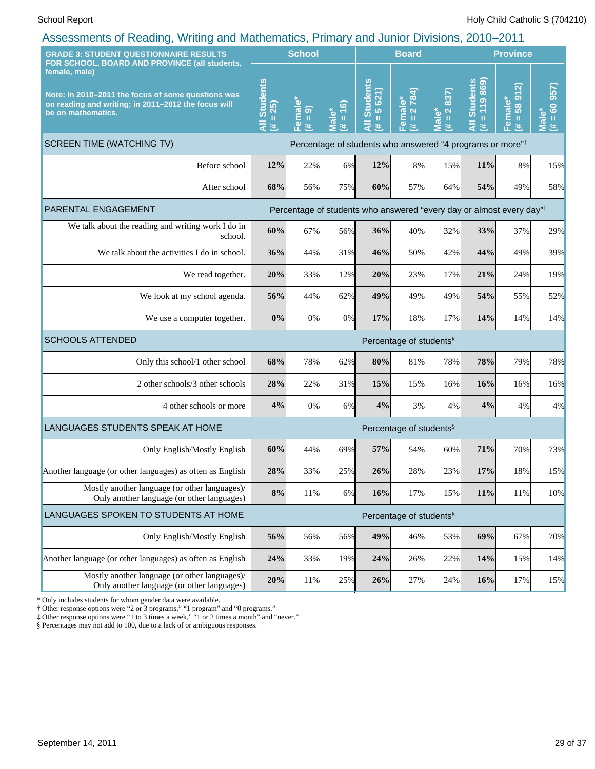| ASSESSINGINS OF INGRUING, VYINING RIN MANNETHRING, I TIMRIY RIN JUMON DIVISIONS, ZV IV-ZV I I<br><b>GRADE 3: STUDENT QUESTIONNAIRE RESULTS</b>   |                                                             | <b>School</b>         |                                                       | <b>Board</b>                                                          |                                     |                                                      | <b>Province</b>                          |                                |                                                                              |
|--------------------------------------------------------------------------------------------------------------------------------------------------|-------------------------------------------------------------|-----------------------|-------------------------------------------------------|-----------------------------------------------------------------------|-------------------------------------|------------------------------------------------------|------------------------------------------|--------------------------------|------------------------------------------------------------------------------|
| FOR SCHOOL, BOARD AND PROVINCE (all students,                                                                                                    |                                                             |                       |                                                       |                                                                       |                                     |                                                      |                                          |                                |                                                                              |
| female, male)<br>Note: In 2010-2011 the focus of some questions was<br>on reading and writing; in 2011-2012 the focus will<br>be on mathematics. | <b>Students</b><br>25)<br>$\rm{II}$<br>$\overline{a}$<br>y. | Female*<br>$(\# = 9)$ | $\overline{16}$<br>៰៎<br>$\rm{II}$<br><b>Tal</b><br>共 | <b>Students</b><br>5621)<br>Ш<br>共                                    | 2784)<br>Female*<br>$\,$ II<br>美    | 837)<br>$\boldsymbol{\sim}$<br>Male*<br>$\,$ II<br>违 | <b>Students</b><br>869)<br>119<br>Ш<br>共 | 912<br>Female*<br>58<br>Ш<br>违 | 957)<br>$\overline{6}$<br>ő<br>$\mathbf{H}$<br>$\bar{\bar{\mathbf{z}}}$<br>进 |
| <b>SCREEN TIME (WATCHING TV)</b>                                                                                                                 |                                                             |                       |                                                       | Percentage of students who answered "4 programs or more" <sup>†</sup> |                                     |                                                      |                                          |                                |                                                                              |
| Before school                                                                                                                                    | 12%                                                         | 22%                   | 6%                                                    | 12%                                                                   | $8\%$                               | 15%                                                  | 11%                                      | 8%                             | 15%                                                                          |
| After school                                                                                                                                     | 68%                                                         | 56%                   | 75%                                                   | 60%                                                                   | 57%                                 | 64%                                                  | 54%                                      | 49%                            | 58%                                                                          |
| PARENTAL ENGAGEMENT                                                                                                                              |                                                             |                       |                                                       | Percentage of students who answered "every day or almost every day"#  |                                     |                                                      |                                          |                                |                                                                              |
| We talk about the reading and writing work I do in<br>school.                                                                                    | 60%                                                         | 67%                   | 56%                                                   | 36%                                                                   | 40%                                 | 32%                                                  | 33%                                      | 37%                            | 29%                                                                          |
| We talk about the activities I do in school.                                                                                                     | 36%                                                         | 44%                   | 31%                                                   | 46%                                                                   | 50%                                 | 42%                                                  | 44%                                      | 49%                            | 39%                                                                          |
| We read together.                                                                                                                                | 20%                                                         | 33%                   | 12%                                                   | 20%                                                                   | 23%                                 | 17%                                                  | 21%                                      | 24%                            | 19%                                                                          |
| We look at my school agenda.                                                                                                                     | 56%                                                         | 44%                   | 62%                                                   | 49%                                                                   | 49%                                 | 49%                                                  | 54%                                      | 55%                            | 52%                                                                          |
| We use a computer together.                                                                                                                      | 0%                                                          | 0%                    | 0%                                                    | 17%                                                                   | 18%                                 | 17%                                                  | 14%                                      | 14%                            | 14%                                                                          |
| <b>SCHOOLS ATTENDED</b>                                                                                                                          |                                                             |                       |                                                       |                                                                       | Percentage of students <sup>§</sup> |                                                      |                                          |                                |                                                                              |
| Only this school/1 other school                                                                                                                  | 68%                                                         | 78%                   | 62%                                                   | 80%                                                                   | 81%                                 | 78%                                                  | 78%                                      | 79%                            | 78%                                                                          |
| 2 other schools/3 other schools                                                                                                                  | 28%                                                         | 22%                   | 31%                                                   | 15%                                                                   | 15%                                 | 16%                                                  | 16%                                      | 16%                            | 16%                                                                          |
| 4 other schools or more                                                                                                                          | 4%                                                          | 0%                    | 6%                                                    | 4%                                                                    | 3%                                  | 4%                                                   | 4%                                       | 4%                             | 4%                                                                           |
| LANGUAGES STUDENTS SPEAK AT HOME                                                                                                                 |                                                             |                       |                                                       |                                                                       | Percentage of students <sup>§</sup> |                                                      |                                          |                                |                                                                              |
| Only English/Mostly English                                                                                                                      | 60%                                                         | 44%                   | 69%                                                   | 57%                                                                   | 54%                                 | 60%                                                  | 71%                                      | 70%                            | 73%                                                                          |
| Another language (or other languages) as often as English                                                                                        | 28%                                                         | 33%                   | 25%                                                   | 26%                                                                   | 28%                                 | 23%                                                  | 17%                                      | 18%                            | 15%                                                                          |
| Mostly another language (or other languages)/<br>Only another language (or other languages)                                                      | $8\%$                                                       | 11%                   | 6%                                                    | 16%                                                                   | 17%                                 | 15%                                                  | 11%                                      | 11%                            | 10%                                                                          |
| LANGUAGES SPOKEN TO STUDENTS AT HOME                                                                                                             |                                                             |                       |                                                       |                                                                       | Percentage of students <sup>§</sup> |                                                      |                                          |                                |                                                                              |
| Only English/Mostly English                                                                                                                      | 56%                                                         | 56%                   | 56%                                                   | 49%                                                                   | 46%                                 | 53%                                                  | 69%                                      | 67%                            | 70%                                                                          |
| Another language (or other languages) as often as English                                                                                        | 24%                                                         | 33%                   | 19%                                                   | 24%                                                                   | 26%                                 | 22%                                                  | 14%                                      | 15%                            | 14%                                                                          |
| Mostly another language (or other languages)/<br>Only another language (or other languages)                                                      | 20%                                                         | 11%                   | 25%                                                   | 26%                                                                   | 27%                                 | 24%                                                  | 16%                                      | 17%                            | 15%                                                                          |

\* Only includes students for whom gender data were available.

† Other response options were "2 or 3 programs," "1 program" and "0 programs."

‡ Other response options were "1 to 3 times a week," "1 or 2 times a month" and "never."

§ Percentages may not add to 100, due to a lack of or ambiguous responses.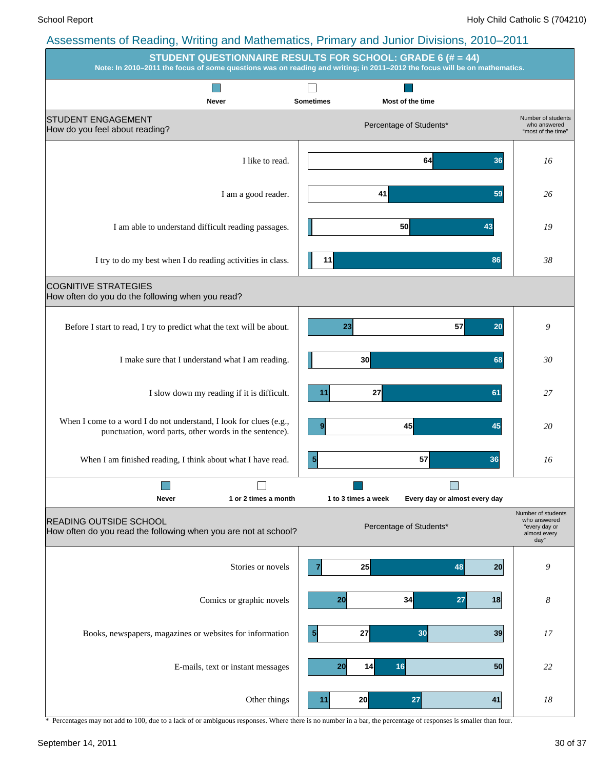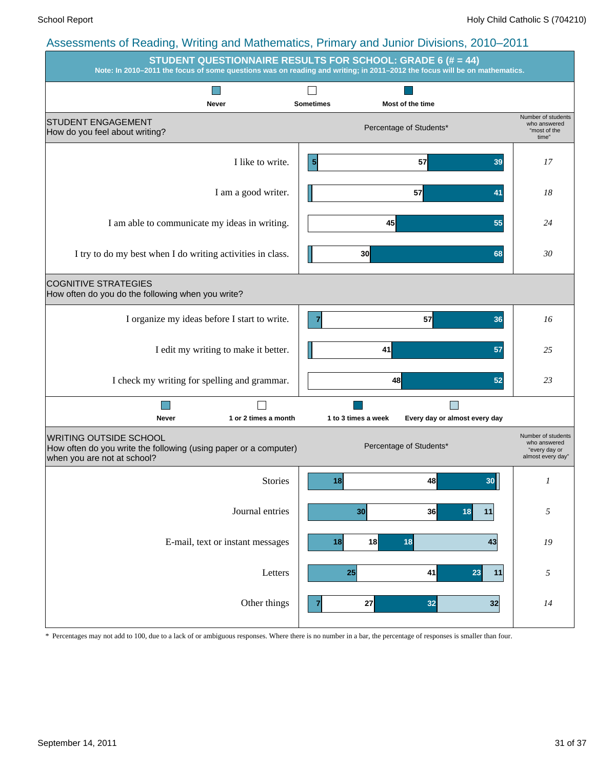|                                                                                                                                  | <b>STUDENT QUESTIONNAIRE RESULTS FOR SCHOOL: GRADE 6 (# = 44)</b><br>Note: In 2010-2011 the focus of some questions was on reading and writing; in 2011-2012 the focus will be on mathematics. |                                                                          |
|----------------------------------------------------------------------------------------------------------------------------------|------------------------------------------------------------------------------------------------------------------------------------------------------------------------------------------------|--------------------------------------------------------------------------|
| Never                                                                                                                            | <b>Sometimes</b><br>Most of the time                                                                                                                                                           |                                                                          |
| <b>STUDENT ENGAGEMENT</b><br>How do you feel about writing?                                                                      | Percentage of Students*                                                                                                                                                                        | Number of students<br>who answered<br>"most of the<br>time"              |
| I like to write.                                                                                                                 | 57<br>$\overline{\mathbf{5}}$<br>39                                                                                                                                                            | 17                                                                       |
| I am a good writer.                                                                                                              | 57<br>41                                                                                                                                                                                       | 18                                                                       |
| I am able to communicate my ideas in writing.                                                                                    | 45<br>55                                                                                                                                                                                       | 24                                                                       |
| I try to do my best when I do writing activities in class.                                                                       | 30 <sub>0</sub><br>68                                                                                                                                                                          | 30                                                                       |
| <b>COGNITIVE STRATEGIES</b><br>How often do you do the following when you write?                                                 |                                                                                                                                                                                                |                                                                          |
| I organize my ideas before I start to write.                                                                                     | 57<br>$\overline{7}$<br>36                                                                                                                                                                     | 16                                                                       |
| I edit my writing to make it better.                                                                                             | 41<br>57                                                                                                                                                                                       | 25                                                                       |
| I check my writing for spelling and grammar.                                                                                     | 48<br>52                                                                                                                                                                                       | 23                                                                       |
| 1 or 2 times a month<br>Never                                                                                                    | 1 to 3 times a week<br>Every day or almost every day                                                                                                                                           |                                                                          |
| <b>WRITING OUTSIDE SCHOOL</b><br>How often do you write the following (using paper or a computer)<br>when you are not at school? | Percentage of Students*                                                                                                                                                                        | Number of students<br>who answered<br>"every day or<br>almost every day" |
| <b>Stories</b>                                                                                                                   | 18<br>48<br>30 <sub>l</sub>                                                                                                                                                                    | $\boldsymbol{l}$                                                         |
| Journal entries                                                                                                                  | 30<br>36<br>18<br>11                                                                                                                                                                           | $\sqrt{2}$                                                               |
| E-mail, text or instant messages                                                                                                 | 18<br>43<br>18<br>18                                                                                                                                                                           | ${\it I9}$                                                               |
| Letters                                                                                                                          | 25<br>41<br>23<br>11                                                                                                                                                                           | $\sqrt{2}$                                                               |
| Other things                                                                                                                     | 27<br>32<br>32<br>7                                                                                                                                                                            | $\it 14$                                                                 |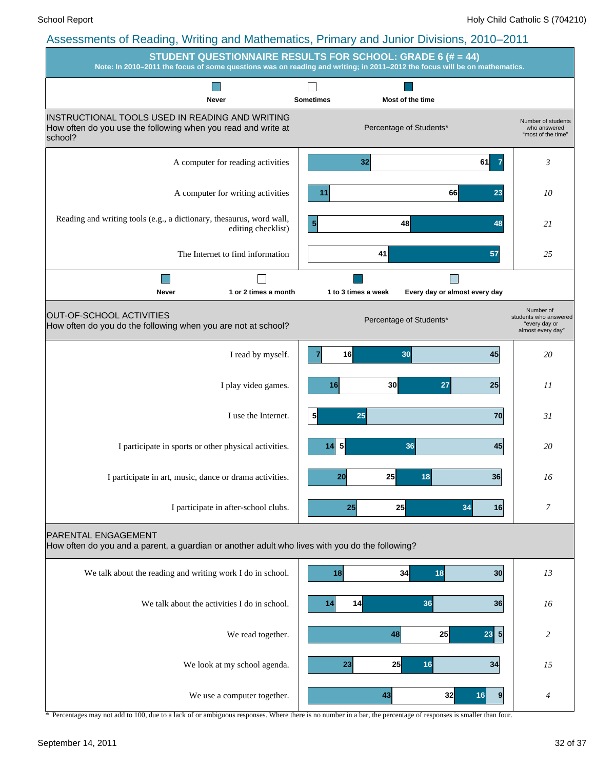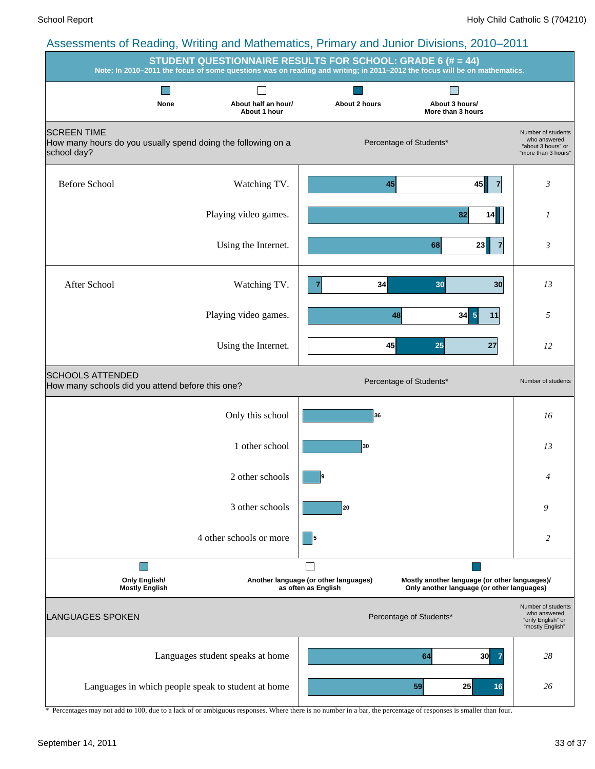| <b>STUDENT QUESTIONNAIRE RESULTS FOR SCHOOL: GRADE 6 (# = 44)</b><br>Note: In 2010-2011 the focus of some questions was on reading and writing; in 2011-2012 the focus will be on mathematics. |                                     |                                                              |                                                                                             |                                                                                 |  |  |  |  |  |
|------------------------------------------------------------------------------------------------------------------------------------------------------------------------------------------------|-------------------------------------|--------------------------------------------------------------|---------------------------------------------------------------------------------------------|---------------------------------------------------------------------------------|--|--|--|--|--|
|                                                                                                                                                                                                |                                     |                                                              |                                                                                             |                                                                                 |  |  |  |  |  |
| None                                                                                                                                                                                           | About half an hour/<br>About 1 hour | About 2 hours                                                | About 3 hours/<br>More than 3 hours                                                         |                                                                                 |  |  |  |  |  |
| <b>SCREEN TIME</b><br>How many hours do you usually spend doing the following on a<br>school day?                                                                                              |                                     |                                                              | Percentage of Students*                                                                     | Number of students<br>who answered<br>"about 3 hours" or<br>"more than 3 hours" |  |  |  |  |  |
| <b>Before School</b>                                                                                                                                                                           | Watching TV.                        | 45                                                           | 45<br>7                                                                                     | 3                                                                               |  |  |  |  |  |
|                                                                                                                                                                                                | Playing video games.                |                                                              | 82<br>14                                                                                    | 1                                                                               |  |  |  |  |  |
|                                                                                                                                                                                                | Using the Internet.                 |                                                              | 68<br>23<br>7                                                                               | 3                                                                               |  |  |  |  |  |
| After School                                                                                                                                                                                   | Watching TV.                        | 34                                                           | 30<br>30                                                                                    | 13                                                                              |  |  |  |  |  |
|                                                                                                                                                                                                | Playing video games.                | 48                                                           | $34 \vert 5 \vert$<br>11                                                                    | 5                                                                               |  |  |  |  |  |
|                                                                                                                                                                                                | Using the Internet.                 | 45                                                           | 25<br>27                                                                                    | 12                                                                              |  |  |  |  |  |
| <b>SCHOOLS ATTENDED</b><br>How many schools did you attend before this one?                                                                                                                    |                                     |                                                              | Percentage of Students*                                                                     | Number of students                                                              |  |  |  |  |  |
|                                                                                                                                                                                                | Only this school                    | 36                                                           |                                                                                             | 16                                                                              |  |  |  |  |  |
|                                                                                                                                                                                                | 1 other school                      | 30                                                           |                                                                                             | 13                                                                              |  |  |  |  |  |
|                                                                                                                                                                                                | 2 other schools                     | 9                                                            |                                                                                             | 4                                                                               |  |  |  |  |  |
|                                                                                                                                                                                                | 3 other schools                     | 20                                                           |                                                                                             | 9                                                                               |  |  |  |  |  |
|                                                                                                                                                                                                | 4 other schools or more             | - 15                                                         |                                                                                             | 2                                                                               |  |  |  |  |  |
|                                                                                                                                                                                                |                                     |                                                              |                                                                                             |                                                                                 |  |  |  |  |  |
| <b>Only English/</b><br><b>Mostly English</b>                                                                                                                                                  |                                     | Another language (or other languages)<br>as often as English | Mostly another language (or other languages)/<br>Only another language (or other languages) |                                                                                 |  |  |  |  |  |
| <b>LANGUAGES SPOKEN</b>                                                                                                                                                                        |                                     |                                                              | Percentage of Students*                                                                     | Number of students<br>who answered<br>"only English" or<br>"mostly English"     |  |  |  |  |  |
|                                                                                                                                                                                                | Languages student speaks at home    |                                                              | 64<br>30<br>7                                                                               | 28                                                                              |  |  |  |  |  |
| Languages in which people speak to student at home                                                                                                                                             |                                     |                                                              | 59<br>25<br>16                                                                              | 26                                                                              |  |  |  |  |  |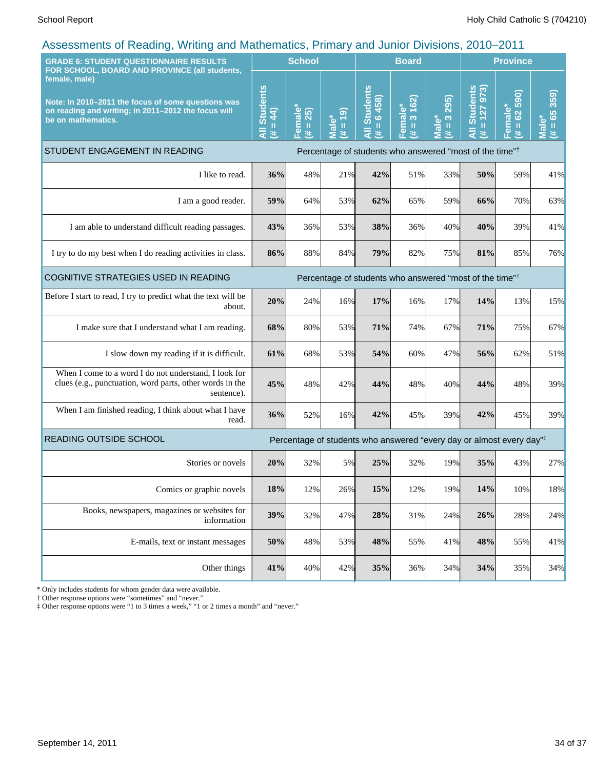| <b>GRADE 6: STUDENT QUESTIONNAIRE RESULTS</b>                                                                                                                                                     |                                     | <b>School</b>                              |                                                  |                                                                                                                                                                                                                                                                                      | <b>Board</b>                      |                                                                                                                                                                                                                                                                                                                 |                                             | <b>Province</b>                            |                                                                        |  |
|---------------------------------------------------------------------------------------------------------------------------------------------------------------------------------------------------|-------------------------------------|--------------------------------------------|--------------------------------------------------|--------------------------------------------------------------------------------------------------------------------------------------------------------------------------------------------------------------------------------------------------------------------------------------|-----------------------------------|-----------------------------------------------------------------------------------------------------------------------------------------------------------------------------------------------------------------------------------------------------------------------------------------------------------------|---------------------------------------------|--------------------------------------------|------------------------------------------------------------------------|--|
| FOR SCHOOL, BOARD AND PROVINCE (all students,<br>female, male)<br>Note: In 2010-2011 the focus of some questions was<br>on reading and writing; in 2011-2012 the focus will<br>be on mathematics. | <b>All Students</b><br>$= 44$<br>Ħ. | Female <sup>*</sup><br>25)<br>$\rm H$<br>共 | $\overline{19}$<br><b>Male*</b><br>$\frac{1}{1}$ | <b>Students</b><br>6458)<br>$\mathbf{H}% =\mathbf{H}^{T}\mathbf{v}^{T}\mathbf{v}^{T}\mathbf{v}^{T}+\mathbf{H}^{T}\mathbf{v}^{T}\mathbf{v}^{T}+\mathbf{H}^{T}\mathbf{v}^{T}\mathbf{v}^{T}+\mathbf{H}^{T}\mathbf{v}^{T}\mathbf{v}^{T}+\mathbf{H}^{T}\mathbf{v}^{T}\mathbf{v}^{T}$<br>巷 | 3 162)<br>Female*<br>$\rm H$<br>共 | 295)<br>$\infty$<br>ۜۧڡؙ<br>$\mathbf{H}% =\mathbf{H}^{T}\mathbf{v}^{T}\mathbf{v}^{T}\mathbf{v}^{T}+\mathbf{H}^{T}\mathbf{v}^{T}\mathbf{v}^{T}+\mathbf{H}^{T}\mathbf{v}^{T}\mathbf{v}^{T}+\mathbf{H}^{T}\mathbf{v}^{T}\mathbf{v}^{T}+\mathbf{H}^{T}\mathbf{v}^{T}\mathbf{v}^{T}$<br>$\overline{\mathbf{c}}$<br># | <b>Students</b><br>127 973<br>II.<br>$\ast$ | 590)<br>Female*<br>62<br>$\mathbf{I}$<br>共 | 359)<br>$\overline{65}$<br>$\omega$<br>$\mathbf{u}$<br><u>ក្ខ</u><br>进 |  |
| STUDENT ENGAGEMENT IN READING<br>Percentage of students who answered "most of the time" <sup>†</sup>                                                                                              |                                     |                                            |                                                  |                                                                                                                                                                                                                                                                                      |                                   |                                                                                                                                                                                                                                                                                                                 |                                             |                                            |                                                                        |  |
| I like to read.                                                                                                                                                                                   | 36%                                 | 48%                                        | 21%                                              | 42%                                                                                                                                                                                                                                                                                  | 51%                               | 33%                                                                                                                                                                                                                                                                                                             | 50%                                         | 59%                                        | 41%                                                                    |  |
| I am a good reader.                                                                                                                                                                               | 59%                                 | 64%                                        | 53%                                              | 62%                                                                                                                                                                                                                                                                                  | 65%                               | 59%                                                                                                                                                                                                                                                                                                             | 66%                                         | 70%                                        | 63%                                                                    |  |
| I am able to understand difficult reading passages.                                                                                                                                               | 43%                                 | 36%                                        | 53%                                              | 38%                                                                                                                                                                                                                                                                                  | 36%                               | 40%                                                                                                                                                                                                                                                                                                             | 40%                                         | 39%                                        | 41%                                                                    |  |
| I try to do my best when I do reading activities in class.                                                                                                                                        | 86%                                 | 88%                                        | 84%                                              | 79%                                                                                                                                                                                                                                                                                  | 82%                               | 75%                                                                                                                                                                                                                                                                                                             | 81%                                         | 85%                                        | 76%                                                                    |  |
| COGNITIVE STRATEGIES USED IN READING<br>Percentage of students who answered "most of the time" <sup>†</sup>                                                                                       |                                     |                                            |                                                  |                                                                                                                                                                                                                                                                                      |                                   |                                                                                                                                                                                                                                                                                                                 |                                             |                                            |                                                                        |  |
| Before I start to read, I try to predict what the text will be<br>about.                                                                                                                          | 20%                                 | 24%                                        | 16%                                              | 17%                                                                                                                                                                                                                                                                                  | 16%                               | 17%                                                                                                                                                                                                                                                                                                             | 14%                                         | 13%                                        | 15%                                                                    |  |
| I make sure that I understand what I am reading.                                                                                                                                                  | 68%                                 | 80%                                        | 53%                                              | 71%                                                                                                                                                                                                                                                                                  | 74%                               | 67%                                                                                                                                                                                                                                                                                                             | 71%                                         | 75%                                        | 67%                                                                    |  |
| I slow down my reading if it is difficult.                                                                                                                                                        | 61%                                 | 68%                                        | 53%                                              | 54%                                                                                                                                                                                                                                                                                  | 60%                               | 47%                                                                                                                                                                                                                                                                                                             | 56%                                         | 62%                                        | 51%                                                                    |  |
| When I come to a word I do not understand, I look for<br>clues (e.g., punctuation, word parts, other words in the<br>sentence).                                                                   | 45%                                 | 48%                                        | 42%                                              | 44%                                                                                                                                                                                                                                                                                  | 48%                               | 40%                                                                                                                                                                                                                                                                                                             | 44%                                         | 48%                                        | 39%                                                                    |  |
| When I am finished reading, I think about what I have<br>read.                                                                                                                                    | 36%                                 | 52%                                        | 16%                                              | 42%                                                                                                                                                                                                                                                                                  | 45%                               | 39%                                                                                                                                                                                                                                                                                                             | 42%                                         | 45%                                        | 39%                                                                    |  |
| READING OUTSIDE SCHOOL<br>Percentage of students who answered "every day or almost every day" <sup>‡</sup>                                                                                        |                                     |                                            |                                                  |                                                                                                                                                                                                                                                                                      |                                   |                                                                                                                                                                                                                                                                                                                 |                                             |                                            |                                                                        |  |
| Stories or novels                                                                                                                                                                                 | 20%                                 | 32%                                        | 5%                                               | 25%                                                                                                                                                                                                                                                                                  | 32%                               | 19%                                                                                                                                                                                                                                                                                                             | 35%                                         | 43%                                        | 27%                                                                    |  |
| Comics or graphic novels                                                                                                                                                                          | 18%                                 | 12%                                        | 26%                                              | 15%                                                                                                                                                                                                                                                                                  | 12%                               | 19%                                                                                                                                                                                                                                                                                                             | 14%                                         | 10%                                        | 18%                                                                    |  |
| Books, newspapers, magazines or websites for<br>information                                                                                                                                       | 39%                                 | 32%                                        | 47%                                              | 28%                                                                                                                                                                                                                                                                                  | 31%                               | 24%                                                                                                                                                                                                                                                                                                             | 26%                                         | 28%                                        | 24%                                                                    |  |
| E-mails, text or instant messages                                                                                                                                                                 | 50%                                 | 48%                                        | 53%                                              | 48%                                                                                                                                                                                                                                                                                  | 55%                               | 41%                                                                                                                                                                                                                                                                                                             | 48%                                         | 55%                                        | 41%                                                                    |  |
| Other things                                                                                                                                                                                      | 41%                                 | 40%                                        | 42%                                              | 35%                                                                                                                                                                                                                                                                                  | 36%                               | 34%                                                                                                                                                                                                                                                                                                             | 34%                                         | 35%                                        | 34%                                                                    |  |

\* Only includes students for whom gender data were available.

† Other response options were "sometimes" and "never."

‡ Other response options were "1 to 3 times a week," "1 or 2 times a month" and "never."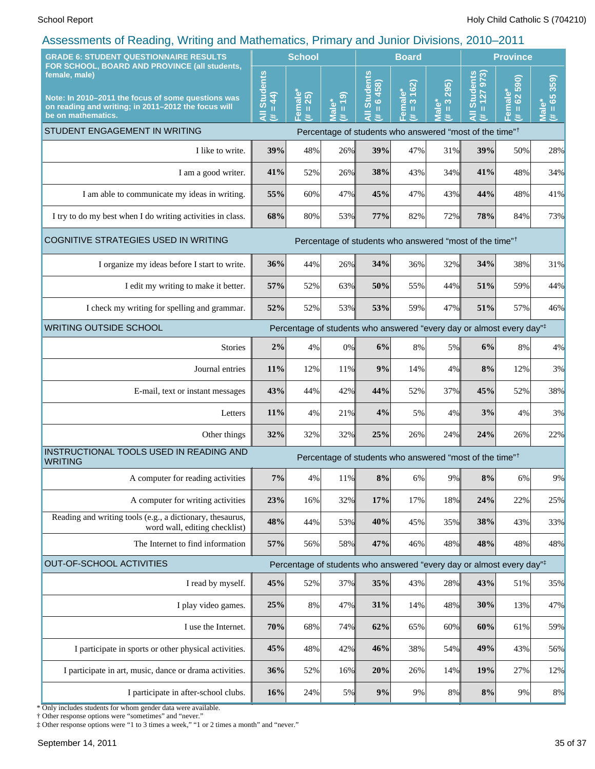| <b>School</b>                                                                                                                    |                     |                              | <b>Board</b>                                      |                                                                                                                                                      |                                            | <b>Province</b>                                      |                                                                                                                                                    |                                                                                  |
|----------------------------------------------------------------------------------------------------------------------------------|---------------------|------------------------------|---------------------------------------------------|------------------------------------------------------------------------------------------------------------------------------------------------------|--------------------------------------------|------------------------------------------------------|----------------------------------------------------------------------------------------------------------------------------------------------------|----------------------------------------------------------------------------------|
| <b>All Students</b><br>$= 44$<br>进                                                                                               | Female*<br>(# = 25) | (6)<br>Male*<br>$\rm H$<br>£ | <b>Students</b><br>6458<br>$\mathbf{u}$<br>₹<br>违 | 3 162)<br>Female*<br>(# = 3 16:                                                                                                                      | 295)<br>$\frac{3}{2}$<br><b>Male*</b><br># | <b>Students</b><br>973)<br>$= 127$<br>$\bar{a}$<br>巷 | 62 590)<br>Female*<br>(# = 62 5;                                                                                                                   | 359)<br>$= 65$<br><b>Male</b><br>进                                               |
|                                                                                                                                  |                     |                              |                                                   |                                                                                                                                                      |                                            |                                                      |                                                                                                                                                    |                                                                                  |
| 39%                                                                                                                              | 48%                 |                              | 39%                                               | 47%                                                                                                                                                  | 31%                                        | 39%                                                  | 50%                                                                                                                                                | 28%                                                                              |
| 41%                                                                                                                              | 52%                 |                              | 38%                                               | 43%                                                                                                                                                  | 34%                                        | 41%                                                  | 48%                                                                                                                                                | 34%                                                                              |
| 55%                                                                                                                              | 60%                 |                              | 45%                                               | 47%                                                                                                                                                  | 43%                                        |                                                      | 48%                                                                                                                                                | 41%                                                                              |
| 68%                                                                                                                              | 80%                 |                              | 77%                                               | 82%                                                                                                                                                  | 72%                                        |                                                      | 84%                                                                                                                                                | 73%                                                                              |
| COGNITIVE STRATEGIES USED IN WRITING<br>Percentage of students who answered "most of the time" <sup>†</sup>                      |                     |                              |                                                   |                                                                                                                                                      |                                            |                                                      |                                                                                                                                                    |                                                                                  |
| 36%                                                                                                                              | 44%                 |                              | 34%                                               | 36%                                                                                                                                                  | 32%                                        |                                                      | 38%                                                                                                                                                | 31%                                                                              |
| 57%                                                                                                                              | 52%                 |                              | 50%                                               | 55%                                                                                                                                                  | 44%                                        |                                                      | 59%                                                                                                                                                | 44%                                                                              |
| 52%                                                                                                                              | 52%                 |                              | 53%                                               | 59%                                                                                                                                                  | 47%                                        |                                                      | 57%                                                                                                                                                | 46%                                                                              |
| <b>WRITING OUTSIDE SCHOOL</b><br>Percentage of students who answered "every day or almost every day" <sup>‡</sup>                |                     |                              |                                                   |                                                                                                                                                      |                                            |                                                      |                                                                                                                                                    |                                                                                  |
| 2%                                                                                                                               | 4%                  |                              | 6%                                                | 8%                                                                                                                                                   |                                            | 6%                                                   | 8%                                                                                                                                                 | 4%                                                                               |
| 11%                                                                                                                              | 12%                 |                              | 9%                                                | 14%                                                                                                                                                  | 4%                                         |                                                      | 12%                                                                                                                                                | 3%                                                                               |
| 43%                                                                                                                              | 44%                 |                              | 44%                                               | 52%                                                                                                                                                  | 37%                                        |                                                      | 52%                                                                                                                                                | 38%                                                                              |
| 11%                                                                                                                              | 4%                  |                              | 4%                                                | 5%                                                                                                                                                   | 4%                                         |                                                      | 4%                                                                                                                                                 | 3%                                                                               |
| 32%                                                                                                                              | 32%                 |                              | 25%                                               | 26%                                                                                                                                                  | 24%                                        | 24%                                                  | 26%                                                                                                                                                | 22%                                                                              |
| INSTRUCTIONAL TOOLS USED IN READING AND<br>Percentage of students who answered "most of the time" <sup>†</sup><br><b>WRITING</b> |                     |                              |                                                   |                                                                                                                                                      |                                            |                                                      |                                                                                                                                                    |                                                                                  |
| $7\%$                                                                                                                            | 4%                  |                              | $8\%$                                             | 6%                                                                                                                                                   | 9%                                         | 8%                                                   | 6%                                                                                                                                                 | 9%                                                                               |
| 23%                                                                                                                              | 16%                 |                              |                                                   | 17%                                                                                                                                                  | 18%                                        | 24%                                                  | 22%                                                                                                                                                | 25%                                                                              |
| 48%                                                                                                                              | 44%                 |                              | 40%                                               | 45%                                                                                                                                                  |                                            |                                                      | 43%                                                                                                                                                | 33%                                                                              |
| 57%                                                                                                                              | 56%                 |                              |                                                   | 46%                                                                                                                                                  |                                            |                                                      | 48%                                                                                                                                                | 48%                                                                              |
| OUT-OF-SCHOOL ACTIVITIES<br>Percentage of students who answered "every day or almost every day" <sup>‡</sup>                     |                     |                              |                                                   |                                                                                                                                                      |                                            |                                                      |                                                                                                                                                    |                                                                                  |
| 45%                                                                                                                              | 52%                 |                              |                                                   | 43%                                                                                                                                                  |                                            |                                                      | 51%                                                                                                                                                | 35%                                                                              |
| 25%                                                                                                                              | 8%                  |                              | 31%                                               | 14%                                                                                                                                                  | 48%                                        |                                                      | 13%                                                                                                                                                | 47%                                                                              |
| 70%                                                                                                                              | 68%                 |                              | 62%                                               | 65%                                                                                                                                                  |                                            |                                                      | 61%                                                                                                                                                | 59%                                                                              |
| 45%                                                                                                                              | 48%                 |                              | 46%                                               | 38%                                                                                                                                                  |                                            |                                                      | 43%                                                                                                                                                | 56%                                                                              |
| 36%                                                                                                                              | 52%                 |                              | 20%                                               | 26%                                                                                                                                                  |                                            |                                                      | 27%                                                                                                                                                | 12%                                                                              |
| 16%                                                                                                                              | 24%                 |                              |                                                   | 9%                                                                                                                                                   |                                            |                                                      | 9%                                                                                                                                                 | 8%                                                                               |
|                                                                                                                                  |                     |                              |                                                   | 26%<br>26%<br>47%<br>53%<br>26%<br>63%<br>53%<br>0%<br>11%<br>42%<br>21%<br>32%<br>11%<br>32%<br>53%<br>58%<br>37%<br>47%<br>74%<br>42%<br>16%<br>5% | 17%<br>47%<br>35%<br>9%                    |                                                      | 44%<br>78%<br>34%<br>51%<br>51%<br>5%<br>8%<br>45%<br>3%<br>35%<br>38%<br>48%<br>43%<br>28%<br>30%<br>60%<br>60%<br>49%<br>54%<br>14%<br>19%<br>8% | Percentage of students who answered "most of the time" <sup>†</sup><br>48%<br>8% |

\* Only includes students for whom gender data were available. † Other response options were "sometimes" and "never."

‡ Other response options were "1 to 3 times a week," "1 or 2 times a month" and "never."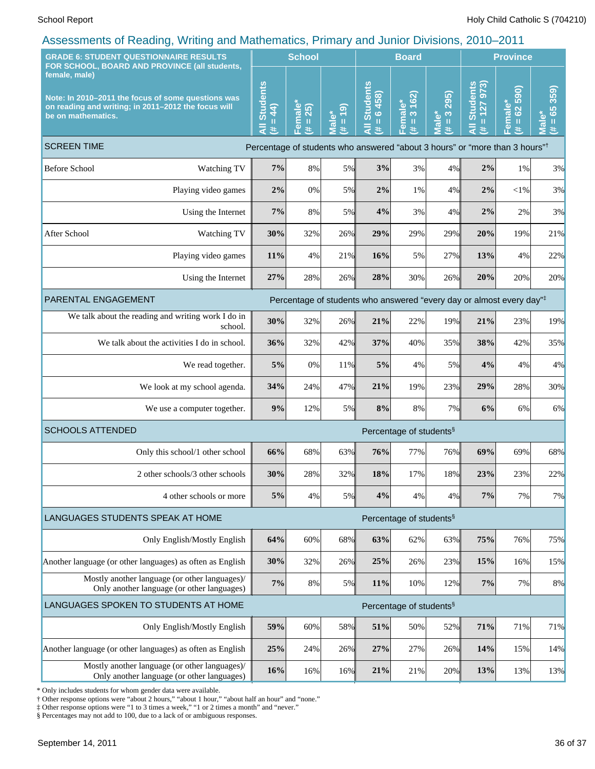| <b>GRADE 6: STUDENT QUESTIONNAIRE RESULTS</b><br>FOR SCHOOL, BOARD AND PROVINCE (all students,                                                   |                                                 |                                     | <b>School</b>        |                                                            | <b>Board</b>                                |                                     |                                                | <b>Province</b>                                 |                                                                         |  |
|--------------------------------------------------------------------------------------------------------------------------------------------------|-------------------------------------------------|-------------------------------------|----------------------|------------------------------------------------------------|---------------------------------------------|-------------------------------------|------------------------------------------------|-------------------------------------------------|-------------------------------------------------------------------------|--|
| female, male)<br>Note: In 2010-2011 the focus of some questions was<br>on reading and writing; in 2011-2012 the focus will<br>be on mathematics. | <b>Students</b><br>44<br>$\mathbf{H}$<br>ā<br>共 | Female*<br>(# = 25)                 | $= 19$<br>Male*<br>进 | <b>Students</b><br>6458)<br>$\mathbf{u}$<br>$\bar{a}$<br>进 | 162)<br>Female*<br>$\infty$<br>$\rm H$<br>违 | 295)<br>$\frac{3}{2}$<br>Male*<br>巷 | 127973<br><b>Students</b><br>$\rm H$<br>₹<br>共 | 590)<br>Female*<br>$\Omega$<br>$\mathbf H$<br>违 | 359)<br>$\overline{65}$<br>Male <sup>*</sup><br>$\mathbf{\bar{u}}$<br>进 |  |
| <b>SCREEN TIME</b><br>Percentage of students who answered "about 3 hours" or "more than 3 hours" <sup>†</sup>                                    |                                                 |                                     |                      |                                                            |                                             |                                     |                                                |                                                 |                                                                         |  |
| <b>Before School</b><br>Watching TV                                                                                                              | 7%                                              | 8%                                  | 5%                   | 3%                                                         | 3%                                          | 4%                                  | 2%                                             | 1%                                              | 3%                                                                      |  |
| Playing video games                                                                                                                              | 2%                                              | 0%                                  | 5%                   | 2%                                                         | 1%                                          | 4%                                  | 2%                                             | $<$ 1%                                          | 3%                                                                      |  |
| Using the Internet                                                                                                                               | 7%                                              | 8%                                  | 5%                   | 4%                                                         | 3%                                          | 4%                                  | 2%                                             | 2%                                              | 3%                                                                      |  |
| After School<br>Watching TV                                                                                                                      | 30%                                             | 32%                                 | 26%                  | 29%                                                        | 29%                                         | 29%                                 | 20%                                            | 19%                                             | 21%                                                                     |  |
| Playing video games                                                                                                                              | 11%                                             | 4%                                  | 21%                  | 16%                                                        | 5%                                          | 27%                                 | 13%                                            | 4%                                              | 22%                                                                     |  |
| Using the Internet                                                                                                                               | 27%                                             | 28%                                 | 26%                  | 28%                                                        | 30%                                         | 26%                                 | 20%                                            | 20%                                             | 20%                                                                     |  |
| PARENTAL ENGAGEMENT<br>Percentage of students who answered "every day or almost every day" <sup>‡</sup>                                          |                                                 |                                     |                      |                                                            |                                             |                                     |                                                |                                                 |                                                                         |  |
| We talk about the reading and writing work I do in<br>school.                                                                                    | 30%                                             | 32%                                 | 26%                  | 21%                                                        | 22%                                         | 19%                                 | 21%                                            | 23%                                             | 19%                                                                     |  |
| We talk about the activities I do in school.                                                                                                     | 36%                                             | 32%                                 | 42%                  | 37%                                                        | 40%                                         | 35%                                 | 38%                                            | 42%                                             | 35%                                                                     |  |
| We read together.                                                                                                                                | 5%                                              | 0%                                  | 11%                  | 5%                                                         | 4%                                          | 5%                                  | 4%                                             | 4%                                              | 4%                                                                      |  |
| We look at my school agenda.                                                                                                                     | 34%                                             | 24%                                 | 47%                  | 21%                                                        | 19%                                         | 23%                                 | 29%                                            | 28%                                             | 30%                                                                     |  |
| We use a computer together.                                                                                                                      | 9%                                              | 12%                                 | 5%                   | 8%                                                         | 8%                                          | 7%                                  | 6%                                             | 6%                                              | $6\%$                                                                   |  |
| <b>SCHOOLS ATTENDED</b>                                                                                                                          |                                                 | Percentage of students <sup>§</sup> |                      |                                                            |                                             |                                     |                                                |                                                 |                                                                         |  |
| Only this school/1 other school                                                                                                                  | 66%                                             | 68%                                 | 63%                  | 76%                                                        | 77%                                         | 76%                                 | 69%                                            | 69%                                             | 68%                                                                     |  |
| 2 other schools/3 other schools                                                                                                                  | 30%                                             | 28%                                 | 32%                  | 18%                                                        | 17%                                         | 18%                                 | 23%                                            | 23%                                             | 22%                                                                     |  |
| 4 other schools or more                                                                                                                          | 5%                                              | 4%                                  | 5%                   | 4%                                                         | 4%                                          | 4%                                  | 7%                                             | 7%                                              | 7%                                                                      |  |
| LANGUAGES STUDENTS SPEAK AT HOME<br>Percentage of students <sup>§</sup>                                                                          |                                                 |                                     |                      |                                                            |                                             |                                     |                                                |                                                 |                                                                         |  |
| Only English/Mostly English                                                                                                                      | 64%                                             | 60%                                 | 68%                  | 63%                                                        | 62%                                         | 63%                                 | 75%                                            | 76%                                             | 75%                                                                     |  |
| Another language (or other languages) as often as English                                                                                        | 30%                                             | 32%                                 | 26%                  | 25%                                                        | 26%                                         | 23%                                 | 15%                                            | 16%                                             | 15%                                                                     |  |
| Mostly another language (or other languages)/<br>Only another language (or other languages)                                                      | 7%                                              | 8%                                  | 5%                   | 11%                                                        | 10%                                         | 12%                                 | $7\%$                                          | 7%                                              | 8%                                                                      |  |
| LANGUAGES SPOKEN TO STUDENTS AT HOME                                                                                                             | Percentage of students <sup>§</sup>             |                                     |                      |                                                            |                                             |                                     |                                                |                                                 |                                                                         |  |
| Only English/Mostly English                                                                                                                      | 59%                                             | 60%                                 | 58%                  | 51%                                                        | 50%                                         | 52%                                 | 71%                                            | 71%                                             | 71%                                                                     |  |
| Another language (or other languages) as often as English                                                                                        | 25%                                             | 24%                                 | 26%                  | 27%                                                        | 27%                                         | 26%                                 | 14%                                            | 15%                                             | 14%                                                                     |  |
| Mostly another language (or other languages)/<br>Only another language (or other languages)                                                      | 16%                                             | 16%                                 | 16%                  | 21%                                                        | 21%                                         | 20%                                 | 13%                                            | 13%                                             | 13%                                                                     |  |

\* Only includes students for whom gender data were available.

† Other response options were "about 2 hours," "about 1 hour," "about half an hour" and "none."

‡ Other response options were "1 to 3 times a week," "1 or 2 times a month" and "never."

§ Percentages may not add to 100, due to a lack of or ambiguous responses.